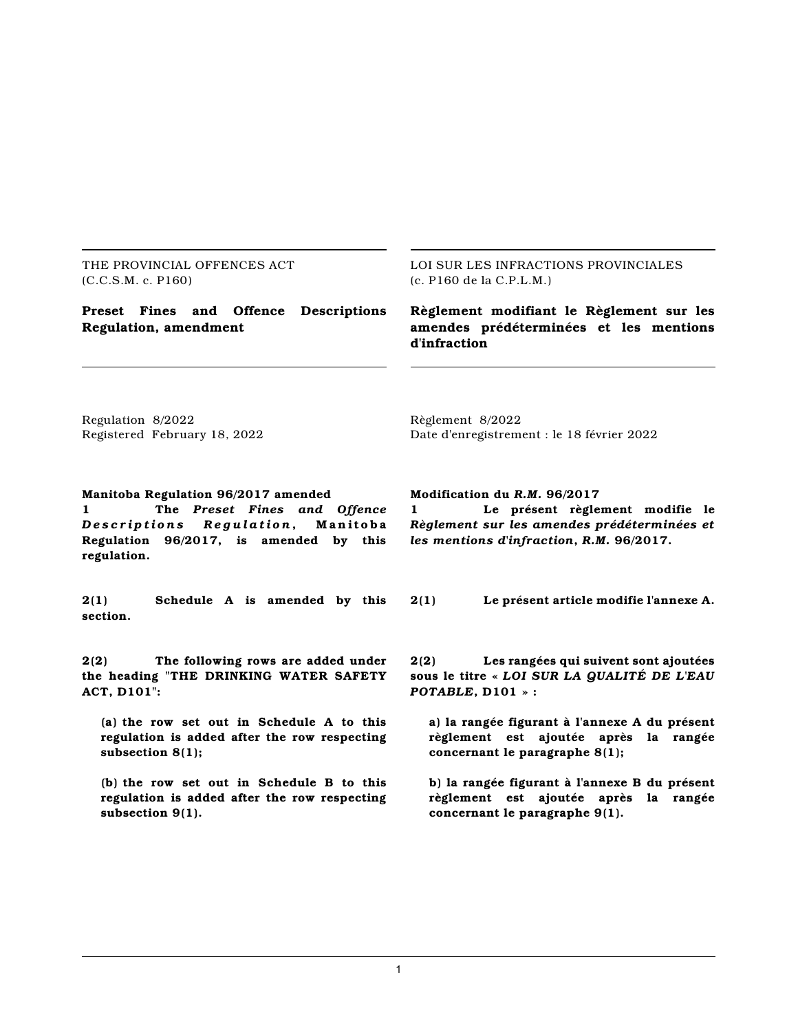THE PROVINCIAL OFFENCES ACT (C.C.S.M. c. P160)

LOI SUR LES INFRACTIONS PROVINCIALES (c. P160 de la C.P.L.M.)

**Preset Fines and Offence Descriptions Regulation, amendment**

**Règlement modifiant le Règlement sur les amendes prédéterminées et les mentions d'infraction**

Regulation 8/2022 Registered February 18, 2022

Date d'enregistrement : le 18 février 2022

#### **Manitoba Regulation 96/2017 amended**

**1 The** *Preset Fines and Offence* Descriptions Requlation, Manitoba **Regulation 96/2017, is amended by this regulation.**

**2(1) Schedule A is amended by this section.**

**2(2) The following rows are added under the heading "THE DRINKING WATER SAFETY ACT, D101":**

**(a) the row set out in Schedule A to this regulation is added after the row respecting subsection 8(1);**

**(b) the row set out in Schedule B to this regulation is added after the row respecting subsection 9(1).**

**Modification du** *R.M.* **96/2017**

Règlement 8/2022

**1 Le présent règlement modifie le** *Règlement sur les amendes prédéterminées et les mentions d'infraction***,** *R.M.* **96/2017.**

**2(1) Le présent article modifie l'annexe A.**

**2(2) Les rangées qui suivent sont ajoutées sous le titre «** *LOI SUR LA QUALITÉ DE L'EAU POTABLE***, D101 » :**

**a) la rangée figurant à l'annexe A du présent règlement est ajoutée après la rangée concernant le paragraphe 8(1);**

**b) la rangée figurant à l'annexe B du présent règlement est ajoutée après la rangée concernant le paragraphe 9(1).**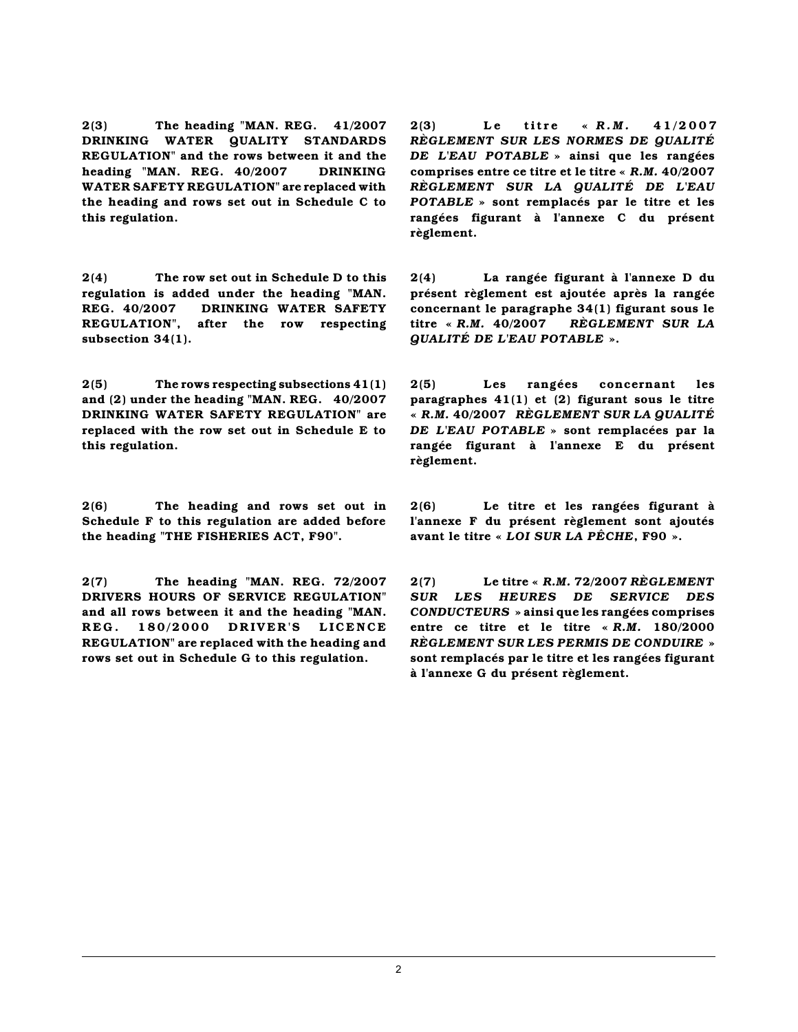**2(3) The heading "MAN. REG. 41/2007 DRINKING WATER QUALITY STANDARDS REGULATION" and the rows between it and the heading "MAN. REG. 40/2007 DRINKING WATER SAFETY REGULATION" are replaced with the heading and rows set out in Schedule C to this regulation.**

**2(4) The row set out in Schedule D to this regulation is added under the heading "MAN. REG. 40/2007 DRINKING WATER SAFETY REGULATION", after the row respecting subsection 34(1).**

**2(5) The rows respecting subsections 41(1) and (2) under the heading "MAN. REG. 40/2007 DRINKING WATER SAFETY REGULATION" are replaced with the row set out in Schedule E to this regulation.**

**2(6) The heading and rows set out in Schedule F to this regulation are added before the heading "THE FISHERIES ACT, F90".**

**2(7) The heading "MAN. REG. 72/2007 DRIVERS HOURS OF SERVICE REGULATION" and all rows between it and the heading "MAN. R E G . 1 8 0 /2 0 0 0 D R IV E R 'S L I C E N C E REGULATION" are replaced with the heading and rows set out in Schedule G to this regulation.**

**2(3) L e tit r e «** *R . M .* **4 1 / 2 0 0 7** *RÈGLEMENT SUR LES NORMES DE QUALITÉ DE L'EAU POTABLE* **» ainsi que les rangées comprises entre ce titre et le titre «** *R.M.* **40/2007** *RÈGLEMENT SUR LA QUALITÉ DE L'EAU POTABLE* **» sont remplacés par le titre et les rangées figurant à l'annexe C du présent règlement.**

**2(4) La rangée figurant à l'annexe D du présent règlement est ajoutée après la rangée concernant le paragraphe 34(1) figurant sous le titre «** *R.M.* **40/2007** *RÈGLEMENT SUR LA QUALITÉ DE L'EAU POTABLE* **».**

**2(5) Les rangées concernant les paragraphes 41(1) et (2) figurant sous le titre «** *R.M.* **40/2007** *RÈGLEMENT SUR LA QUALITÉ DE L'EAU POTABLE* **» sont remplacées par la rangée figurant à l'annexe E du présent règlement.**

**2(6) Le titre et les rangées figurant à l'annexe F du présent règlement sont ajoutés avant le titre «** *LOI SUR LA PÊCHE***, F90 ».**

**2(7) Le titre «** *R.M.* **72/2007** *RÈGLEMENT SUR LES HEURES DE SERVICE DES CONDUCTEURS* **» ainsi que les rangées comprises entre ce titre et le titre «** *R.M.* **180/2000** *RÈGLEMENT SUR LES PERMIS DE CONDUIRE* **» sont remplacés par le titre et les rangées figurant à l'annexe G du présent règlement.**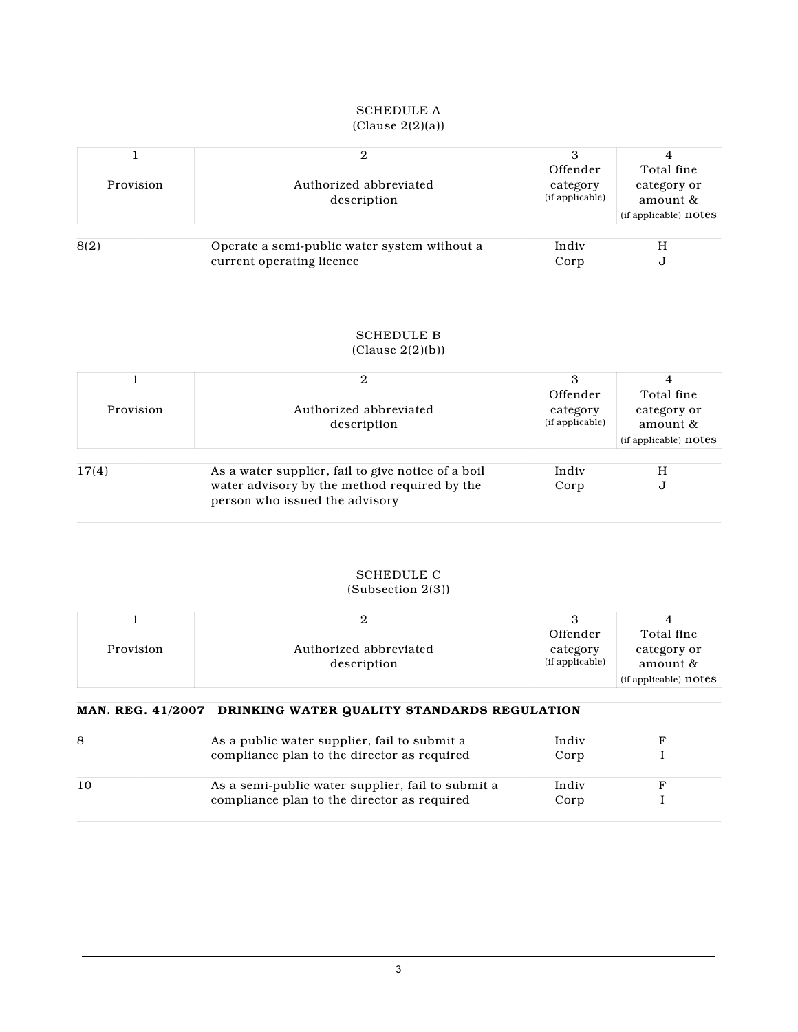#### SCHEDULE A (Clause 2(2)(a))

| Provision | Authorized abbreviated<br>description                                     | Offender<br>category<br>(if applicable) | Total fine<br>category or<br>amount &<br>(if applicable) notes |
|-----------|---------------------------------------------------------------------------|-----------------------------------------|----------------------------------------------------------------|
| 8(2)      | Operate a semi-public water system without a<br>current operating licence | Indiv<br>Corp                           | Н<br>J                                                         |

#### SCHEDULE B (Clause 2(2)(b))

| Provision | Authorized abbreviated<br>description                                                                                                | Offender<br>category<br>(if applicable) | Total fine<br>category or<br>amount &<br>(if applicable) notes |
|-----------|--------------------------------------------------------------------------------------------------------------------------------------|-----------------------------------------|----------------------------------------------------------------|
| 17(4)     | As a water supplier, fail to give notice of a boil<br>water advisory by the method required by the<br>person who issued the advisory | Indiv<br>Corp                           | H<br>J                                                         |

## SCHEDULE C

#### (Subsection 2(3))

|           |                        | Offender        | Total fine                     |
|-----------|------------------------|-----------------|--------------------------------|
| Provision | Authorized abbreviated | category        | category or                    |
|           | description            | (if applicable) | amount &                       |
|           |                        |                 | $\lceil$ (if applicable) notes |

## **MAN. REG. 41/2007 DRINKING WATER QUALITY STANDARDS REGULATION**

| 8 | As a public water supplier, fail to submit a      | Indiv |  |
|---|---------------------------------------------------|-------|--|
|   | compliance plan to the director as required       | Corp  |  |
|   | As a semi-public water supplier, fail to submit a | Indiv |  |
|   | compliance plan to the director as required       | Corp  |  |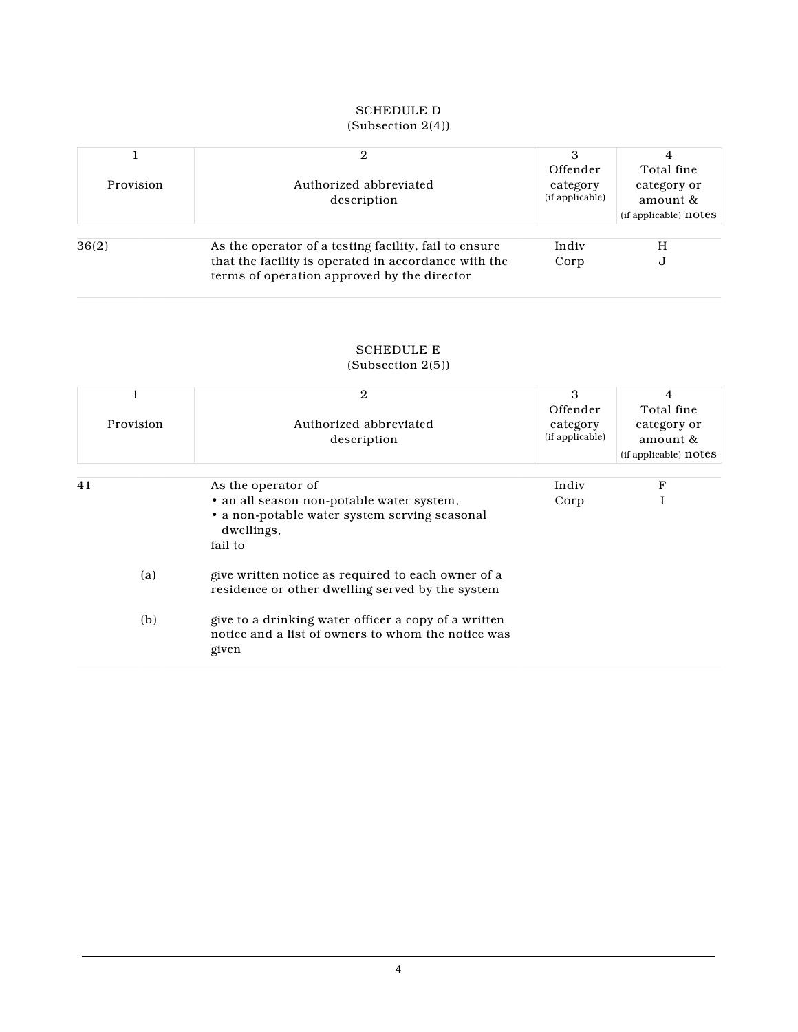# SCHEDULE D

|           |                                                                                                     | Offender        | Total fine            |
|-----------|-----------------------------------------------------------------------------------------------------|-----------------|-----------------------|
| Provision | Authorized abbreviated                                                                              | category        | category or           |
|           | description                                                                                         | (if applicable) | amount &              |
|           |                                                                                                     |                 | (if applicable) notes |
|           |                                                                                                     |                 |                       |
| 36(2)     | As the operator of a testing facility, fail to ensure                                               | Indiv           | H                     |
|           | that the facility is operated in accordance with the<br>terms of operation approved by the director | Corp            | J                     |

#### (Subsection 2(4))

## SCHEDULE E

#### (Subsection 2(5))

|           | 2                                                                                                                   | 3               | 4                     |
|-----------|---------------------------------------------------------------------------------------------------------------------|-----------------|-----------------------|
|           |                                                                                                                     | Offender        | Total fine            |
| Provision | Authorized abbreviated                                                                                              | category        | category or           |
|           | description                                                                                                         | (if applicable) | amount &              |
|           |                                                                                                                     |                 | (if applicable) notes |
|           |                                                                                                                     |                 |                       |
| 41        | As the operator of                                                                                                  | Indiv           | F                     |
|           | • an all season non-potable water system,                                                                           | Corp            |                       |
|           | • a non-potable water system serving seasonal<br>dwellings,                                                         |                 |                       |
|           | fail to                                                                                                             |                 |                       |
| (a)       | give written notice as required to each owner of a<br>residence or other dwelling served by the system              |                 |                       |
| (b)       | give to a drinking water officer a copy of a written<br>notice and a list of owners to whom the notice was<br>given |                 |                       |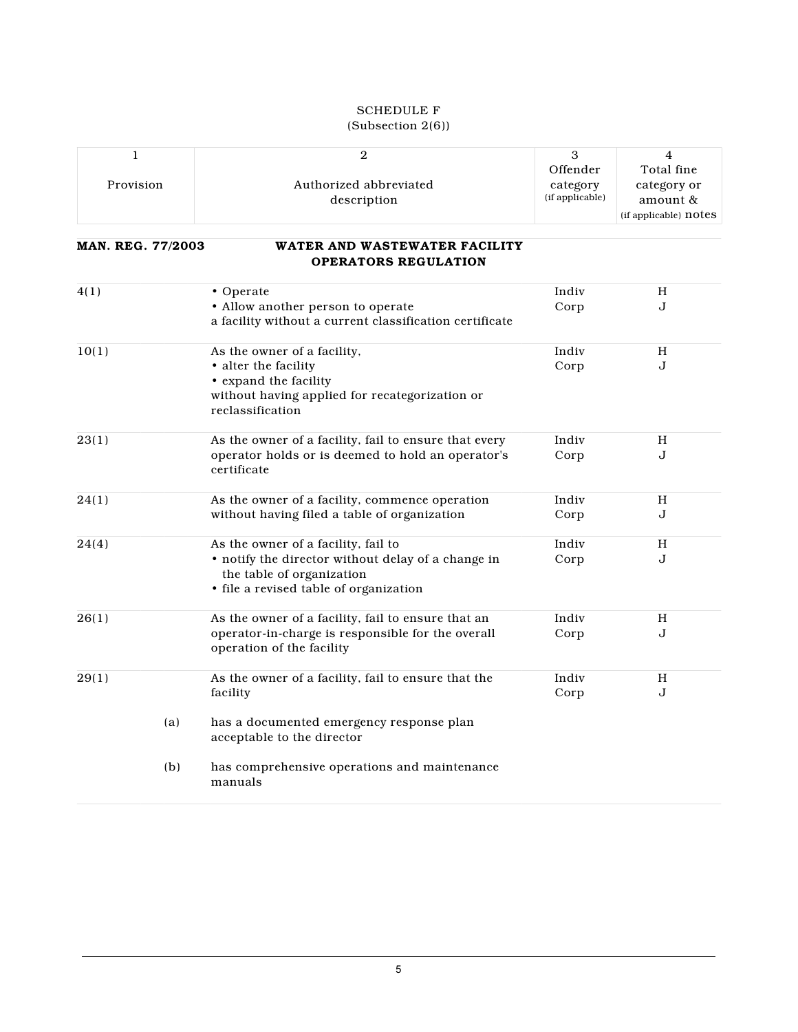## SCHEDULE F

| (Subsection 2(6)) |  |
|-------------------|--|
|-------------------|--|

|           |                        | Offender        | Total fine            |
|-----------|------------------------|-----------------|-----------------------|
| Provision | Authorized abbreviated | category        | category or           |
|           | description            | (if applicable) | amount &              |
|           |                        |                 | (if applicable) notes |

#### **MAN. REG. 77/2003 WATER AND WASTEWATER FACILITY OPERATORS REGULATION**

| 4(1)  |     | • Operate                                                                       | Indiv | H |
|-------|-----|---------------------------------------------------------------------------------|-------|---|
|       |     | • Allow another person to operate                                               | Corp  | J |
|       |     | a facility without a current classification certificate                         |       |   |
| 10(1) |     | As the owner of a facility,                                                     | Indiv | H |
|       |     | • alter the facility                                                            | Corp  | J |
|       |     | • expand the facility                                                           |       |   |
|       |     | without having applied for recategorization or                                  |       |   |
|       |     | reclassification                                                                |       |   |
| 23(1) |     | As the owner of a facility, fail to ensure that every                           | Indiv | H |
|       |     | operator holds or is deemed to hold an operator's<br>certificate                | Corp  | J |
| 24(1) |     | As the owner of a facility, commence operation                                  | Indiv | H |
|       |     | without having filed a table of organization                                    | Corp  | J |
| 24(4) |     | As the owner of a facility, fail to                                             | Indiv | H |
|       |     | • notify the director without delay of a change in<br>the table of organization | Corp  | J |
|       |     | · file a revised table of organization                                          |       |   |
| 26(1) |     | As the owner of a facility, fail to ensure that an                              | Indiv | H |
|       |     | operator-in-charge is responsible for the overall<br>operation of the facility  | Corp  | J |
| 29(1) |     | As the owner of a facility, fail to ensure that the                             | Indiv | H |
|       |     | facility                                                                        | Corp  | J |
|       | (a) | has a documented emergency response plan<br>acceptable to the director          |       |   |
|       | (b) | has comprehensive operations and maintenance<br>manuals                         |       |   |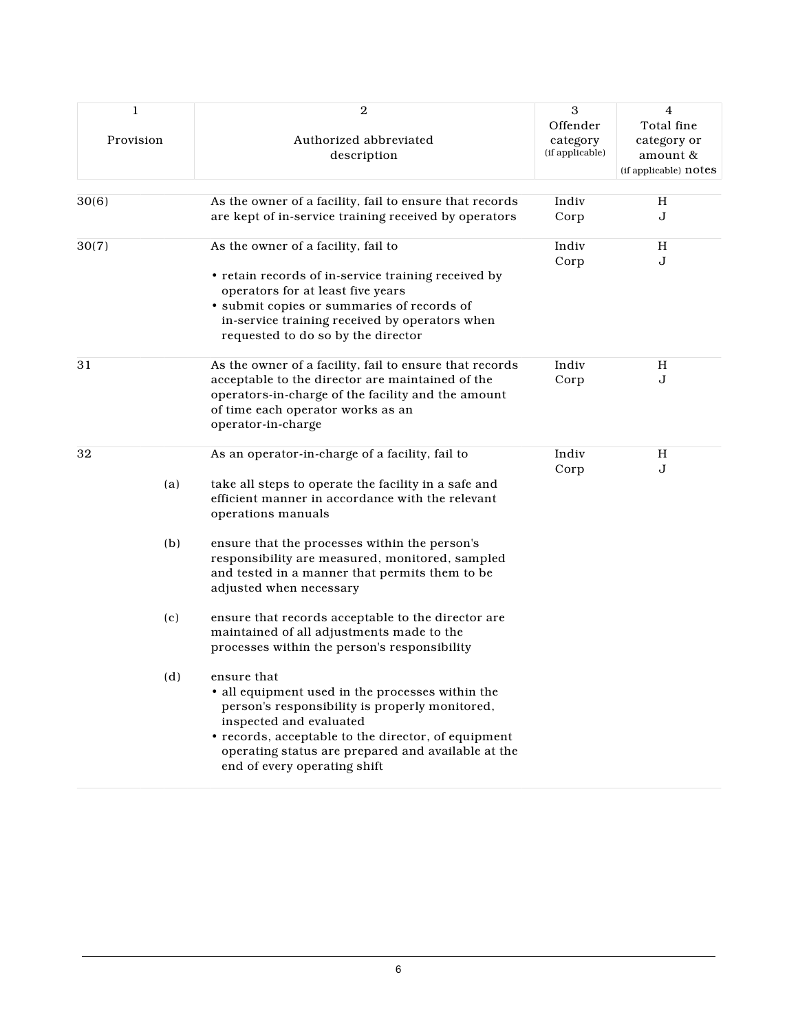| 1         | $\boldsymbol{2}$                                        | 3                           | 4                     |
|-----------|---------------------------------------------------------|-----------------------------|-----------------------|
|           |                                                         | Offender                    | Total fine            |
| Provision | Authorized abbreviated                                  | category<br>(if applicable) | category or           |
|           | description                                             |                             | amount &              |
|           |                                                         |                             | (if applicable) notes |
| 30(6)     | As the owner of a facility, fail to ensure that records | Indiv                       | H                     |
|           | are kept of in-service training received by operators   | Corp                        | J                     |
| 30(7)     | As the owner of a facility, fail to                     | Indiv                       | H                     |
|           |                                                         | Corp                        | J                     |
|           | • retain records of in-service training received by     |                             |                       |
|           | operators for at least five years                       |                             |                       |
|           | · submit copies or summaries of records of              |                             |                       |
|           | in-service training received by operators when          |                             |                       |
|           | requested to do so by the director                      |                             |                       |
| 31        | As the owner of a facility, fail to ensure that records | Indiv                       | H                     |
|           | acceptable to the director are maintained of the        | Corp                        | J                     |
|           | operators-in-charge of the facility and the amount      |                             |                       |
|           | of time each operator works as an                       |                             |                       |
|           | operator-in-charge                                      |                             |                       |
| 32        | As an operator-in-charge of a facility, fail to         | Indiv                       | Н                     |
|           |                                                         | Corp                        | J                     |
| (a)       | take all steps to operate the facility in a safe and    |                             |                       |
|           | efficient manner in accordance with the relevant        |                             |                       |
|           | operations manuals                                      |                             |                       |
| (b)       | ensure that the processes within the person's           |                             |                       |
|           | responsibility are measured, monitored, sampled         |                             |                       |
|           | and tested in a manner that permits them to be          |                             |                       |
|           | adjusted when necessary                                 |                             |                       |
| (c)       | ensure that records acceptable to the director are      |                             |                       |
|           | maintained of all adjustments made to the               |                             |                       |
|           | processes within the person's responsibility            |                             |                       |
|           |                                                         |                             |                       |
| (d)       | ensure that                                             |                             |                       |
|           | • all equipment used in the processes within the        |                             |                       |
|           | person's responsibility is properly monitored,          |                             |                       |
|           | inspected and evaluated                                 |                             |                       |
|           | • records, acceptable to the director, of equipment     |                             |                       |
|           | operating status are prepared and available at the      |                             |                       |
|           | end of every operating shift                            |                             |                       |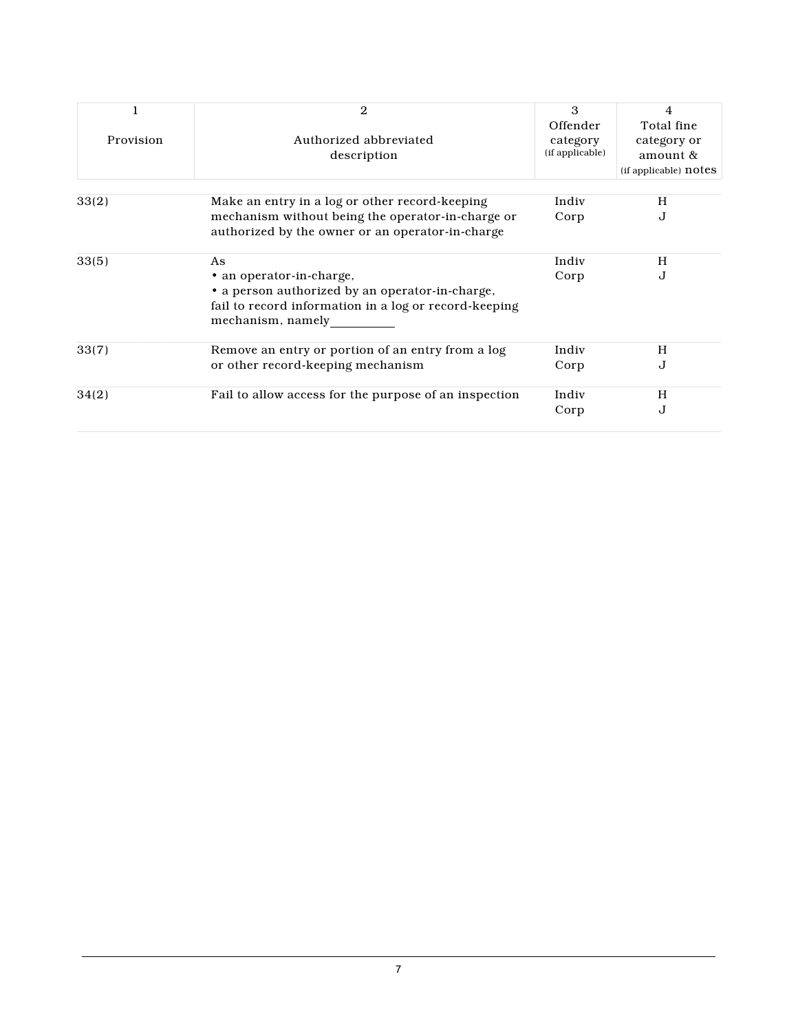|           | 2                                                     | 3               | 4                     |
|-----------|-------------------------------------------------------|-----------------|-----------------------|
|           |                                                       | Offender        | Total fine            |
| Provision | Authorized abbreviated                                | category        | category or           |
|           | description                                           | (if applicable) | amount $\&$           |
|           |                                                       |                 | (if applicable) notes |
|           |                                                       | Indiv           | H                     |
| 33(2)     | Make an entry in a log or other record-keeping        |                 |                       |
|           | mechanism without being the operator-in-charge or     | Corp            | J                     |
|           | authorized by the owner or an operator-in-charge      |                 |                       |
| 33(5)     | As                                                    | Indiv           | H                     |
|           | • an operator-in-charge,                              | Corp            | $\mathbf{J}$          |
|           | • a person authorized by an operator-in-charge,       |                 |                       |
|           | fail to record information in a log or record-keeping |                 |                       |
|           | mechanism, namely                                     |                 |                       |
|           |                                                       |                 |                       |
| 33(7)     | Remove an entry or portion of an entry from a log     | Indiv           | H                     |
|           | or other record-keeping mechanism                     | Corp            | J                     |
| 34(2)     | Fail to allow access for the purpose of an inspection | Indiv           | H                     |
|           |                                                       | Corp            | J                     |
|           |                                                       |                 |                       |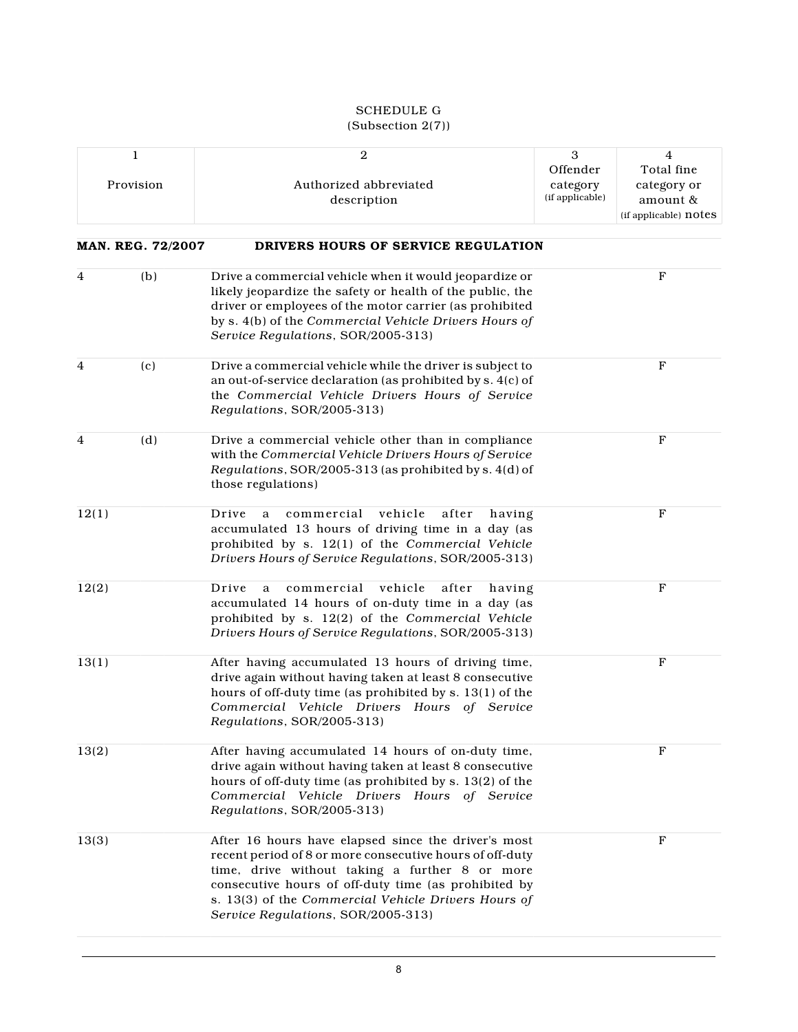#### SCHEDULE G (Subsection 2(7))

| 1<br>Provision           | $\boldsymbol{2}$<br>Authorized abbreviated<br>description                                                                                                                                                                                                                                                              | $\sqrt{3}$<br>Offender<br>category<br>(if applicable) | $\overline{4}$<br>Total fine<br>category or<br>amount &<br>(if applicable) notes |
|--------------------------|------------------------------------------------------------------------------------------------------------------------------------------------------------------------------------------------------------------------------------------------------------------------------------------------------------------------|-------------------------------------------------------|----------------------------------------------------------------------------------|
| <b>MAN. REG. 72/2007</b> | DRIVERS HOURS OF SERVICE REGULATION                                                                                                                                                                                                                                                                                    |                                                       |                                                                                  |
| (b)<br>4                 | Drive a commercial vehicle when it would jeopardize or<br>likely jeopardize the safety or health of the public, the<br>driver or employees of the motor carrier (as prohibited<br>by s. 4(b) of the Commercial Vehicle Drivers Hours of<br>Service Regulations, SOR/2005-313)                                          |                                                       | $_{\rm F}$                                                                       |
| 4<br>(c)                 | Drive a commercial vehicle while the driver is subject to<br>an out-of-service declaration (as prohibited by s. 4(c) of<br>the Commercial Vehicle Drivers Hours of Service<br>Regulations, SOR/2005-313)                                                                                                               |                                                       | $\mathbf{F}$                                                                     |
| $\overline{4}$<br>(d)    | Drive a commercial vehicle other than in compliance<br>with the Commercial Vehicle Drivers Hours of Service<br>Regulations, SOR/2005-313 (as prohibited by s. 4(d) of<br>those regulations)                                                                                                                            |                                                       | F                                                                                |
| 12(1)                    | commercial<br>vehicle<br>after<br>Drive<br>having<br>a<br>accumulated 13 hours of driving time in a day (as<br>prohibited by s. 12(1) of the Commercial Vehicle<br>Drivers Hours of Service Regulations, SOR/2005-313)                                                                                                 |                                                       | $\mathbf{F}$                                                                     |
| 12(2)                    | commercial<br>vehicle<br>after<br>Drive<br>a<br>having<br>accumulated 14 hours of on-duty time in a day (as<br>prohibited by s. 12(2) of the Commercial Vehicle<br>Drivers Hours of Service Regulations, SOR/2005-313)                                                                                                 |                                                       | $\mathbf F$                                                                      |
| 13(1)                    | After having accumulated 13 hours of driving time,<br>drive again without having taken at least 8 consecutive<br>hours of off-duty time (as prohibited by s. 13(1) of the<br>Commercial Vehicle Drivers Hours of Service<br>Regulations, SOR/2005-313)                                                                 |                                                       | $\mathbf F$                                                                      |
| 13(2)                    | After having accumulated 14 hours of on-duty time,<br>drive again without having taken at least 8 consecutive<br>hours of off-duty time (as prohibited by s. 13(2) of the<br>Commercial Vehicle Drivers Hours of Service<br>Regulations, SOR/2005-313)                                                                 |                                                       | F                                                                                |
| 13(3)                    | After 16 hours have elapsed since the driver's most<br>recent period of 8 or more consecutive hours of off-duty<br>time, drive without taking a further 8 or more<br>consecutive hours of off-duty time (as prohibited by<br>s. 13(3) of the Commercial Vehicle Drivers Hours of<br>Service Regulations, SOR/2005-313) |                                                       | F                                                                                |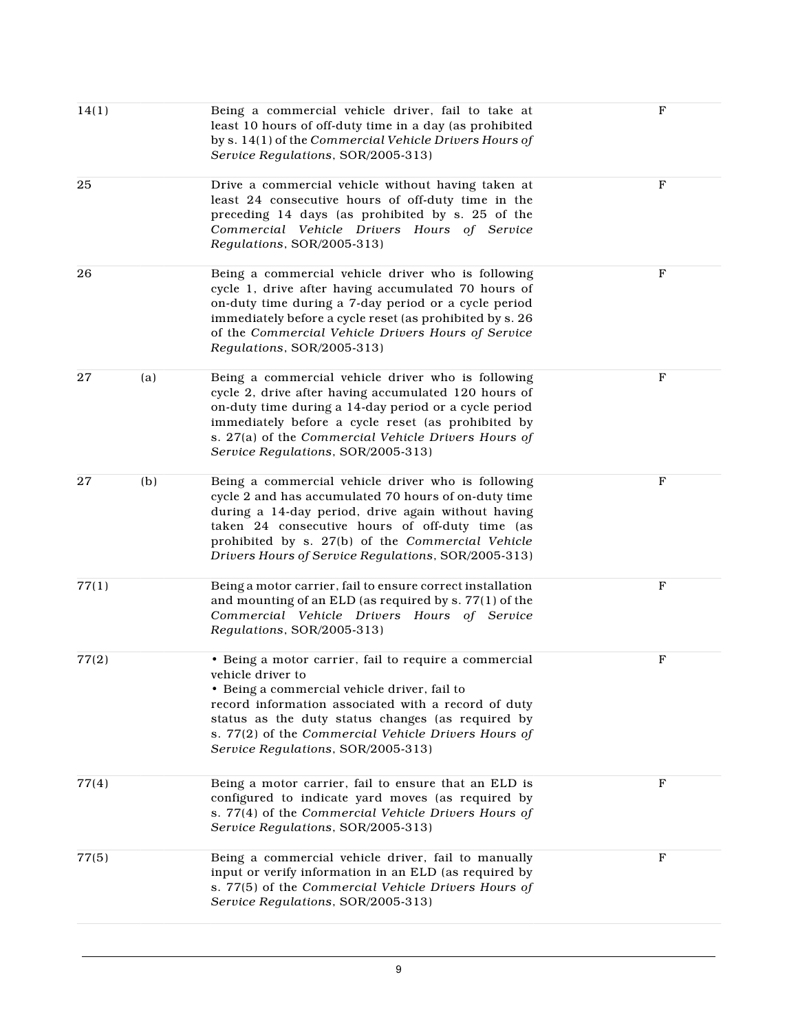| 14(1) |     | Being a commercial vehicle driver, fail to take at<br>least 10 hours of off-duty time in a day (as prohibited<br>by s. 14(1) of the Commercial Vehicle Drivers Hours of<br>Service Regulations, SOR/2005-313)                                                                                                                       | $\mathbf F$  |
|-------|-----|-------------------------------------------------------------------------------------------------------------------------------------------------------------------------------------------------------------------------------------------------------------------------------------------------------------------------------------|--------------|
| 25    |     | Drive a commercial vehicle without having taken at<br>least 24 consecutive hours of off-duty time in the<br>preceding 14 days (as prohibited by s. 25 of the<br>Commercial Vehicle Drivers Hours of Service<br>Regulations, SOR/2005-313)                                                                                           | $\mathbf{F}$ |
| 26    |     | Being a commercial vehicle driver who is following<br>cycle 1, drive after having accumulated 70 hours of<br>on-duty time during a 7-day period or a cycle period<br>immediately before a cycle reset (as prohibited by s. 26<br>of the Commercial Vehicle Drivers Hours of Service<br>Regulations, SOR/2005-313)                   | $\mathbf F$  |
| 27    | (a) | Being a commercial vehicle driver who is following<br>cycle 2, drive after having accumulated 120 hours of<br>on-duty time during a 14-day period or a cycle period<br>immediately before a cycle reset (as prohibited by<br>s. 27(a) of the Commercial Vehicle Drivers Hours of<br>Service Regulations, SOR/2005-313)              | $\mathbf{F}$ |
| 27    | (b) | Being a commercial vehicle driver who is following<br>cycle 2 and has accumulated 70 hours of on-duty time<br>during a 14-day period, drive again without having<br>taken 24 consecutive hours of off-duty time (as<br>prohibited by s. 27(b) of the Commercial Vehicle<br>Drivers Hours of Service Regulations, SOR/2005-313)      | $\mathbf{F}$ |
| 77(1) |     | Being a motor carrier, fail to ensure correct installation<br>and mounting of an ELD (as required by s. 77(1) of the<br>Commercial Vehicle Drivers Hours of Service<br>Regulations, SOR/2005-313)                                                                                                                                   | F            |
| 77(2) |     | • Being a motor carrier, fail to require a commercial<br>vehicle driver to<br>• Being a commercial vehicle driver, fail to<br>record information associated with a record of duty<br>status as the duty status changes (as required by<br>s. 77(2) of the Commercial Vehicle Drivers Hours of<br>Service Regulations, SOR/2005-313) | $\mathbf F$  |
| 77(4) |     | Being a motor carrier, fail to ensure that an ELD is<br>configured to indicate yard moves (as required by<br>s. 77(4) of the Commercial Vehicle Drivers Hours of<br>Service Regulations, SOR/2005-313)                                                                                                                              | $\mathbf F$  |
| 77(5) |     | Being a commercial vehicle driver, fail to manually<br>input or verify information in an ELD (as required by<br>s. 77(5) of the Commercial Vehicle Drivers Hours of<br>Service Regulations, SOR/2005-313)                                                                                                                           | F            |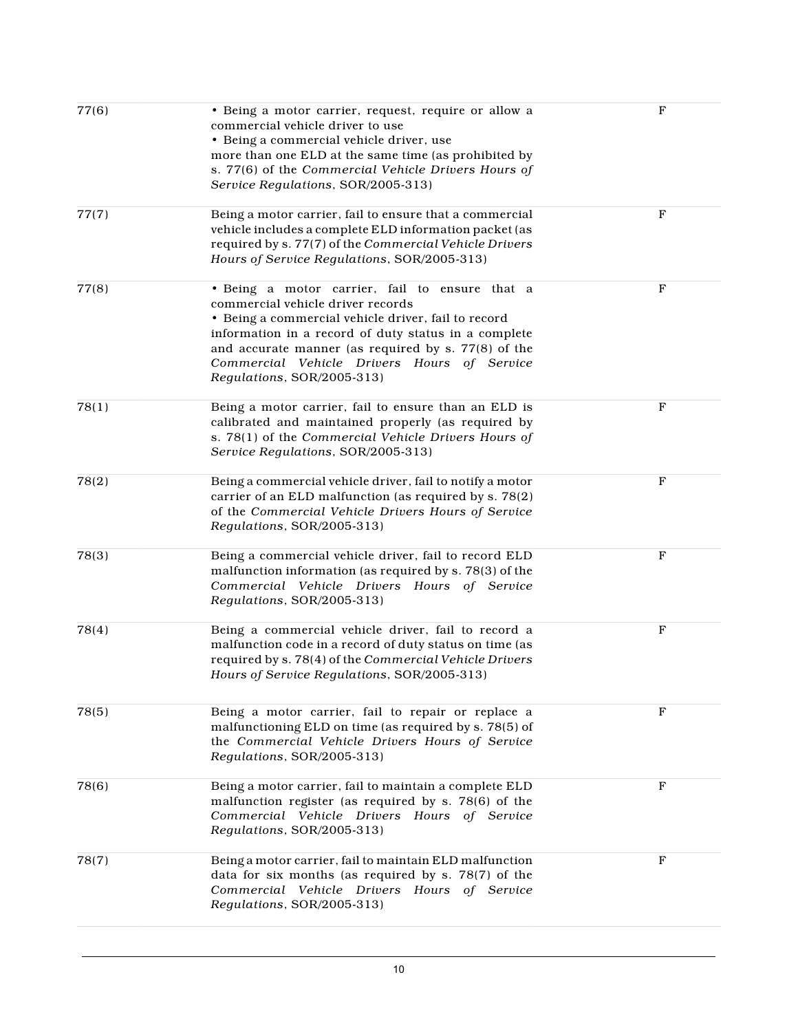| 77(6) | • Being a motor carrier, request, require or allow a<br>commercial vehicle driver to use<br>• Being a commercial vehicle driver, use<br>more than one ELD at the same time (as prohibited by<br>s. 77(6) of the Commercial Vehicle Drivers Hours of<br>Service Regulations, SOR/2005-313)                                              | $\mathbf F$  |
|-------|----------------------------------------------------------------------------------------------------------------------------------------------------------------------------------------------------------------------------------------------------------------------------------------------------------------------------------------|--------------|
| 77(7) | Being a motor carrier, fail to ensure that a commercial<br>vehicle includes a complete ELD information packet (as<br>required by s. 77(7) of the Commercial Vehicle Drivers<br>Hours of Service Regulations, SOR/2005-313)                                                                                                             | $\mathbf F$  |
| 77(8) | · Being a motor carrier, fail to ensure that a<br>commercial vehicle driver records<br>• Being a commercial vehicle driver, fail to record<br>information in a record of duty status in a complete<br>and accurate manner (as required by s. 77(8) of the<br>Commercial Vehicle Drivers Hours of Service<br>Regulations, SOR/2005-313) | $\mathbf F$  |
| 78(1) | Being a motor carrier, fail to ensure than an ELD is<br>calibrated and maintained properly (as required by<br>s. 78(1) of the Commercial Vehicle Drivers Hours of<br>Service Regulations, SOR/2005-313)                                                                                                                                | $\mathbf F$  |
| 78(2) | Being a commercial vehicle driver, fail to notify a motor<br>carrier of an ELD malfunction (as required by s. 78(2)<br>of the Commercial Vehicle Drivers Hours of Service<br>Regulations, SOR/2005-313)                                                                                                                                | $\mathbf{F}$ |
| 78(3) | Being a commercial vehicle driver, fail to record ELD<br>malfunction information (as required by s. 78(3) of the<br>Commercial Vehicle Drivers Hours of Service<br>Regulations, SOR/2005-313)                                                                                                                                          | $\mathbf{F}$ |
| 78(4) | Being a commercial vehicle driver, fail to record a<br>malfunction code in a record of duty status on time (as<br>required by s. 78(4) of the Commercial Vehicle Drivers<br>Hours of Service Regulations, SOR/2005-313)                                                                                                                | ${\bf F}$    |
| 78(5) | Being a motor carrier, fail to repair or replace a<br>malfunctioning ELD on time (as required by s. 78(5) of<br>the Commercial Vehicle Drivers Hours of Service<br>Regulations, SOR/2005-313)                                                                                                                                          | F            |
| 78(6) | Being a motor carrier, fail to maintain a complete ELD<br>malfunction register (as required by s. 78(6) of the<br>Commercial Vehicle Drivers Hours of Service<br>Regulations, SOR/2005-313)                                                                                                                                            | $\mathbf{F}$ |
| 78(7) | Being a motor carrier, fail to maintain ELD malfunction<br>data for six months (as required by s. 78(7) of the<br>Commercial Vehicle Drivers Hours of Service<br>Regulations, SOR/2005-313)                                                                                                                                            | F            |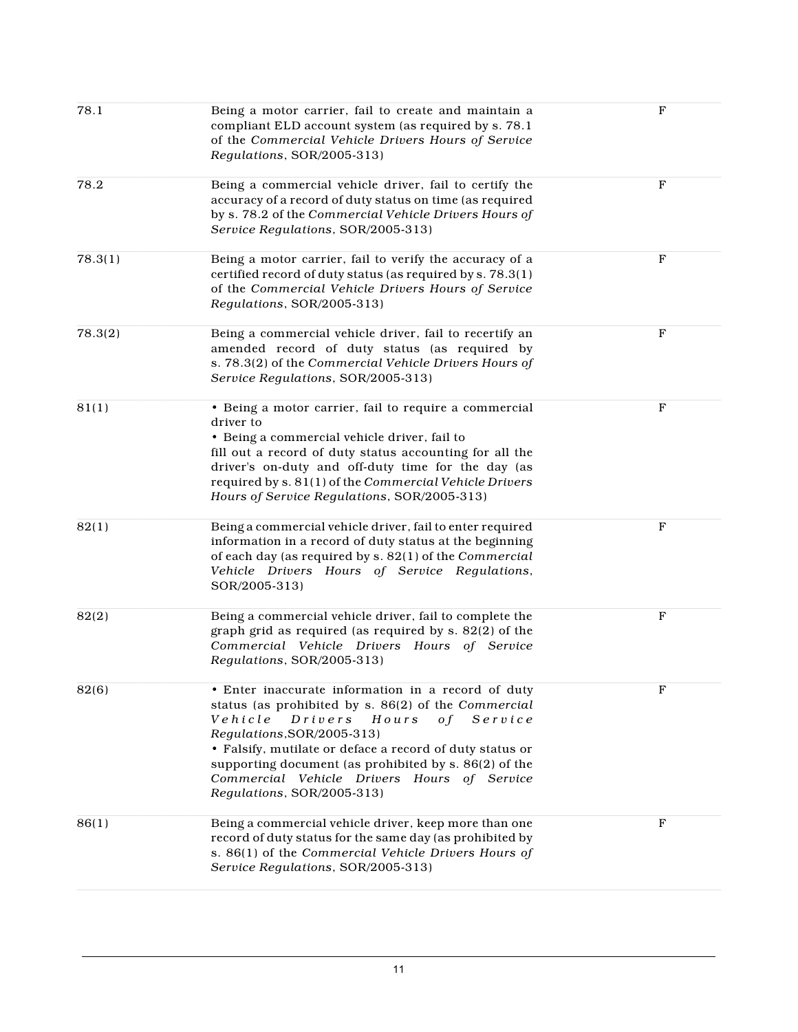| 78.1    | Being a motor carrier, fail to create and maintain a<br>compliant ELD account system (as required by s. 78.1<br>of the Commercial Vehicle Drivers Hours of Service<br>Regulations, SOR/2005-313)                                                                                                                                                                                              | $\mathbf F$ |
|---------|-----------------------------------------------------------------------------------------------------------------------------------------------------------------------------------------------------------------------------------------------------------------------------------------------------------------------------------------------------------------------------------------------|-------------|
| 78.2    | Being a commercial vehicle driver, fail to certify the<br>accuracy of a record of duty status on time (as required<br>by s. 78.2 of the Commercial Vehicle Drivers Hours of<br>Service Regulations, SOR/2005-313)                                                                                                                                                                             | $\mathbf F$ |
| 78.3(1) | Being a motor carrier, fail to verify the accuracy of a<br>certified record of duty status (as required by s. 78.3(1)<br>of the Commercial Vehicle Drivers Hours of Service<br>Regulations, SOR/2005-313)                                                                                                                                                                                     | $\mathbf F$ |
| 78.3(2) | Being a commercial vehicle driver, fail to recertify an<br>amended record of duty status (as required by<br>s. 78.3(2) of the Commercial Vehicle Drivers Hours of<br>Service Regulations, SOR/2005-313)                                                                                                                                                                                       | $\mathbf F$ |
| 81(1)   | • Being a motor carrier, fail to require a commercial<br>driver to<br>• Being a commercial vehicle driver, fail to<br>fill out a record of duty status accounting for all the<br>driver's on-duty and off-duty time for the day (as<br>required by s. 81(1) of the Commercial Vehicle Drivers<br>Hours of Service Regulations, SOR/2005-313)                                                  | $\mathbf F$ |
| 82(1)   | Being a commercial vehicle driver, fail to enter required<br>information in a record of duty status at the beginning<br>of each day (as required by s. 82(1) of the Commercial<br>Vehicle Drivers Hours of Service Regulations,<br>SOR/2005-313)                                                                                                                                              | $\mathbf F$ |
| 82(2)   | Being a commercial vehicle driver, fail to complete the<br>graph grid as required (as required by s. 82(2) of the<br>Commercial Vehicle Drivers Hours of Service<br>Regulations, SOR/2005-313)                                                                                                                                                                                                | $_{\rm F}$  |
| 82(6)   | • Enter inaccurate information in a record of duty<br>status (as prohibited by s. 86(2) of the Commercial<br>Vehicle<br>Drivers<br>Hours<br>$S$ ervice<br>o f<br>Regulations, SOR/2005-313)<br>• Falsify, mutilate or deface a record of duty status or<br>supporting document (as prohibited by s. 86(2) of the<br>Commercial Vehicle Drivers Hours of Service<br>Regulations, SOR/2005-313) | F           |
| 86(1)   | Being a commercial vehicle driver, keep more than one<br>record of duty status for the same day (as prohibited by<br>s. 86(1) of the Commercial Vehicle Drivers Hours of<br>Service Regulations, SOR/2005-313)                                                                                                                                                                                | $\mathbf F$ |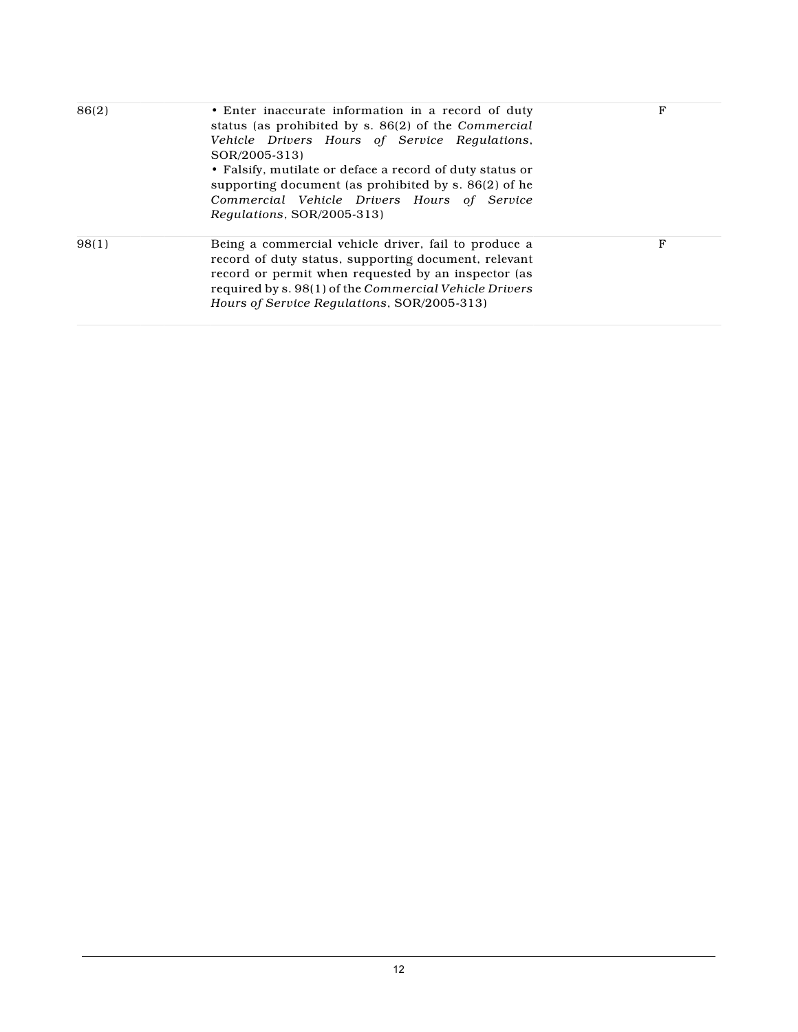| 86(2) | • Enter inaccurate information in a record of duty<br>status (as prohibited by s. 86(2) of the Commercial<br>Vehicle Drivers Hours of Service Regulations,<br>SOR/2005-313)<br>• Falsify, mutilate or deface a record of duty status or<br>supporting document (as prohibited by s. 86(2) of he<br>Commercial Vehicle Drivers Hours of Service<br>Regulations, SOR/2005-313) | F |
|-------|------------------------------------------------------------------------------------------------------------------------------------------------------------------------------------------------------------------------------------------------------------------------------------------------------------------------------------------------------------------------------|---|
| 98(1) | Being a commercial vehicle driver, fail to produce a<br>record of duty status, supporting document, relevant<br>record or permit when requested by an inspector (as<br>required by s. 98(1) of the Commercial Vehicle Drivers<br>Hours of Service Regulations, SOR/2005-313)                                                                                                 | F |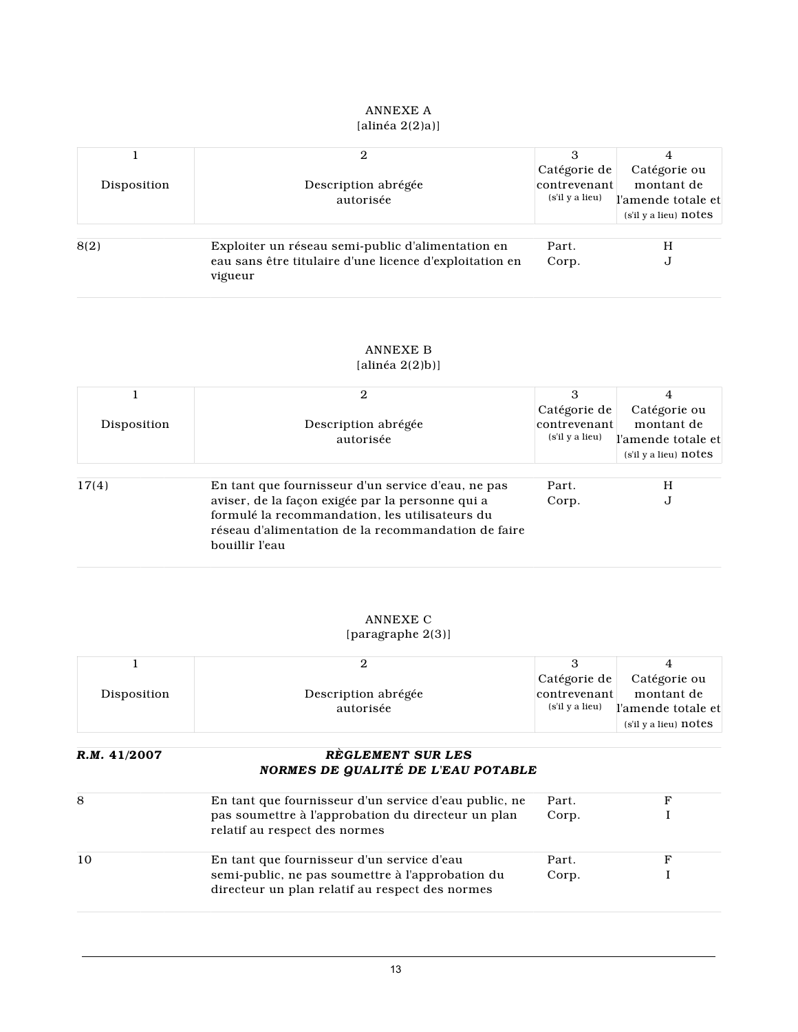#### ANNEXE A  $[alinéa 2(2)a)]$

| Disposition | Description abrégée<br>autorisée                                                                                        | Catégorie de<br>contrevenant<br>(s'il y a lieu) | Catégorie ou<br>montant de<br>l'amende totale et<br>$(s'i'$ l y a lieu) $notes$ |
|-------------|-------------------------------------------------------------------------------------------------------------------------|-------------------------------------------------|---------------------------------------------------------------------------------|
| 8(2)        | Exploiter un réseau semi-public d'alimentation en<br>eau sans être titulaire d'une licence d'exploitation en<br>vigueur | Part.<br>Corp.                                  | Н<br>U                                                                          |

## ANNEXE B

## $[\text{alin\'ea 2(2)b)}]$

|             | 2                                                   |                 |                       |
|-------------|-----------------------------------------------------|-----------------|-----------------------|
|             |                                                     | Catégorie de    | Catégorie ou          |
| Disposition | Description abrégée                                 | contrevenant    | montant de            |
|             | autorisée                                           | (s'il y a lieu) | l'amende totale et    |
|             |                                                     |                 | (s'il y a lieu) notes |
|             |                                                     |                 |                       |
| 17(4)       | En tant que fournisseur d'un service d'eau, ne pas  | Part.           | H                     |
|             | aviser, de la façon exigée par la personne qui a    | Corp.           | J                     |
|             | formulé la recommandation, les utilisateurs du      |                 |                       |
|             | réseau d'alimentation de la recommandation de faire |                 |                       |
|             | bouillir l'eau                                      |                 |                       |

## ANNEXE C

#### [paragraphe 2(3)]

|             |                     | Catégorie de    | Catégorie ou                |
|-------------|---------------------|-----------------|-----------------------------|
| Disposition | Description abrégée | contrevenant    | montant de                  |
|             | autorisée           | (s'il y a lieu) | l'amende totale et          |
|             |                     |                 | $(s'i'$ l y a lieu) $notes$ |

### *R.M.* **41/2007** *RÈGLEMENT SUR LES NORMES DE QUALITÉ DE L'EAU POTABLE*

| 8  | En tant que fournisseur d'un service d'eau public, ne                                               | Part. |  |
|----|-----------------------------------------------------------------------------------------------------|-------|--|
|    | pas soumettre à l'approbation du directeur un plan<br>relatif au respect des normes                 | Corp. |  |
| 10 | En tant que fournisseur d'un service d'eau                                                          | Part. |  |
|    | semi-public, ne pas soumettre à l'approbation du<br>directeur un plan relatif au respect des normes | Corp. |  |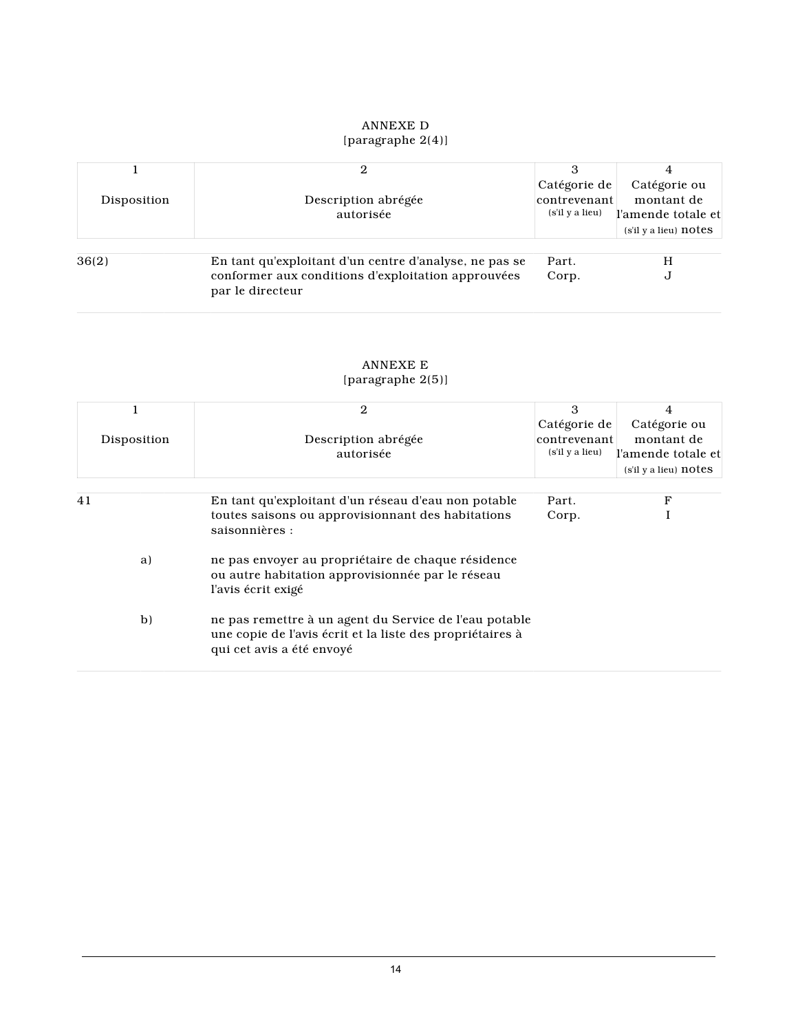## ANNEXE D [paragraphe 2(4)]

| Disposition | Description abrégée<br>autorisée                                                                                                 | Catégorie de<br>contrevenant<br>(s'il y a lieu) | Catégorie ou<br>montant de<br>l'amende totale et<br>$(s'i'$ l y a lieu) $notes$ |
|-------------|----------------------------------------------------------------------------------------------------------------------------------|-------------------------------------------------|---------------------------------------------------------------------------------|
| 36(2)       | En tant qu'exploitant d'un centre d'analyse, ne pas se<br>conformer aux conditions d'exploitation approuvées<br>par le directeur | Part.<br>Corp.                                  | H<br>U                                                                          |

#### ANNEXE E [paragraphe 2(5)]

|             | 2                                                                                                                                                | 3               | 4                         |
|-------------|--------------------------------------------------------------------------------------------------------------------------------------------------|-----------------|---------------------------|
|             |                                                                                                                                                  | Catégorie de    | Catégorie ou              |
| Disposition | Description abrégée                                                                                                                              | contrevenant    | montant de                |
|             | autorisée                                                                                                                                        | (s'il y a lieu) | l'amende totale et        |
|             |                                                                                                                                                  |                 | $(s'i'$ l y a lieu) notes |
|             |                                                                                                                                                  |                 |                           |
| 41          | En tant qu'exploitant d'un réseau d'eau non potable                                                                                              | Part.           | F                         |
|             | toutes saisons ou approvisionnant des habitations<br>saisonnières :                                                                              | Corp.           |                           |
| a)          | ne pas envoyer au propriétaire de chaque résidence<br>ou autre habitation approvisionnée par le réseau<br>l'avis écrit exigé                     |                 |                           |
| b)          | ne pas remettre à un agent du Service de l'eau potable<br>une copie de l'avis écrit et la liste des propriétaires à<br>qui cet avis a été envoyé |                 |                           |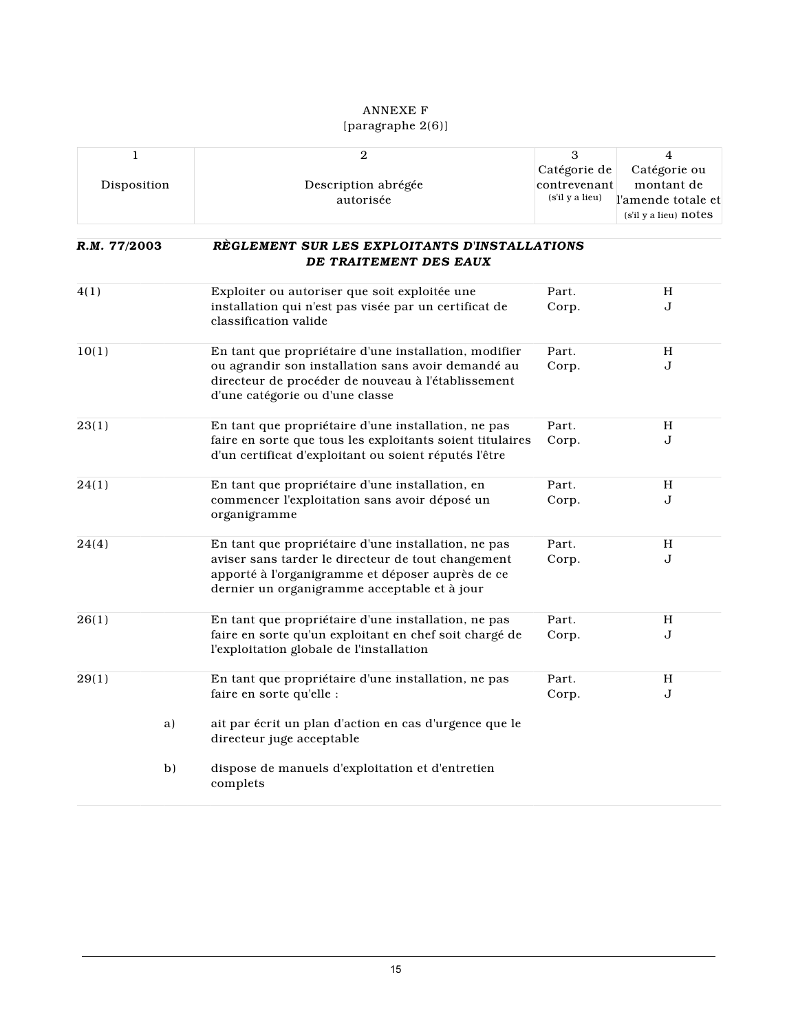#### ANNEXE F [paragraphe 2(6)]

| 1            | $\overline{\mathbf{2}}$                                                                                                                                | 3               | $\overline{4}$        |
|--------------|--------------------------------------------------------------------------------------------------------------------------------------------------------|-----------------|-----------------------|
|              |                                                                                                                                                        | Catégorie de    | Catégorie ou          |
| Disposition  | Description abrégée                                                                                                                                    | contrevenant    | montant de            |
|              | autorisée                                                                                                                                              | (s'il y a lieu) | l'amende totale et    |
|              |                                                                                                                                                        |                 | (s'il y a lieu) notes |
| R.M. 77/2003 | REGLEMENT SUR LES EXPLOITANTS D'INSTALLATIONS<br>DE TRAITEMENT DES EAUX                                                                                |                 |                       |
|              |                                                                                                                                                        |                 |                       |
| 4(1)         | Exploiter ou autoriser que soit exploitée une                                                                                                          | Part.           | Н                     |
|              | installation qui n'est pas visée par un certificat de<br>classification valide                                                                         | Corp.           | J                     |
| 10(1)        | En tant que propriétaire d'une installation, modifier                                                                                                  | Part.           | H                     |
|              | ou agrandir son installation sans avoir demandé au<br>directeur de procéder de nouveau à l'établissement<br>d'une catégorie ou d'une classe            | Corp.           | J                     |
| 23(1)        | En tant que propriétaire d'une installation, ne pas                                                                                                    | Part.           | H                     |
|              | faire en sorte que tous les exploitants soient titulaires<br>d'un certificat d'exploitant ou soient réputés l'être                                     | Corp.           | $\bf J$               |
| 24(1)        | En tant que propriétaire d'une installation, en                                                                                                        | Part.           | H                     |
|              | commencer l'exploitation sans avoir déposé un<br>organigramme                                                                                          | Corp.           | J                     |
| 24(4)        | En tant que propriétaire d'une installation, ne pas                                                                                                    | Part.           | H                     |
|              | aviser sans tarder le directeur de tout changement<br>apporté à l'organigramme et déposer auprès de ce<br>dernier un organigramme acceptable et à jour | Corp.           | J                     |
| 26(1)        | En tant que propriétaire d'une installation, ne pas                                                                                                    | Part.           | H                     |
|              | faire en sorte qu'un exploitant en chef soit chargé de<br>l'exploitation globale de l'installation                                                     | Corp.           | J                     |
| 29(1)        | En tant que propriétaire d'une installation, ne pas                                                                                                    | Part.           | Н                     |
|              | faire en sorte qu'elle :                                                                                                                               | Corp.           | J                     |
| a)           | ait par écrit un plan d'action en cas d'urgence que le<br>directeur juge acceptable                                                                    |                 |                       |
| b)           | dispose de manuels d'exploitation et d'entretien<br>complets                                                                                           |                 |                       |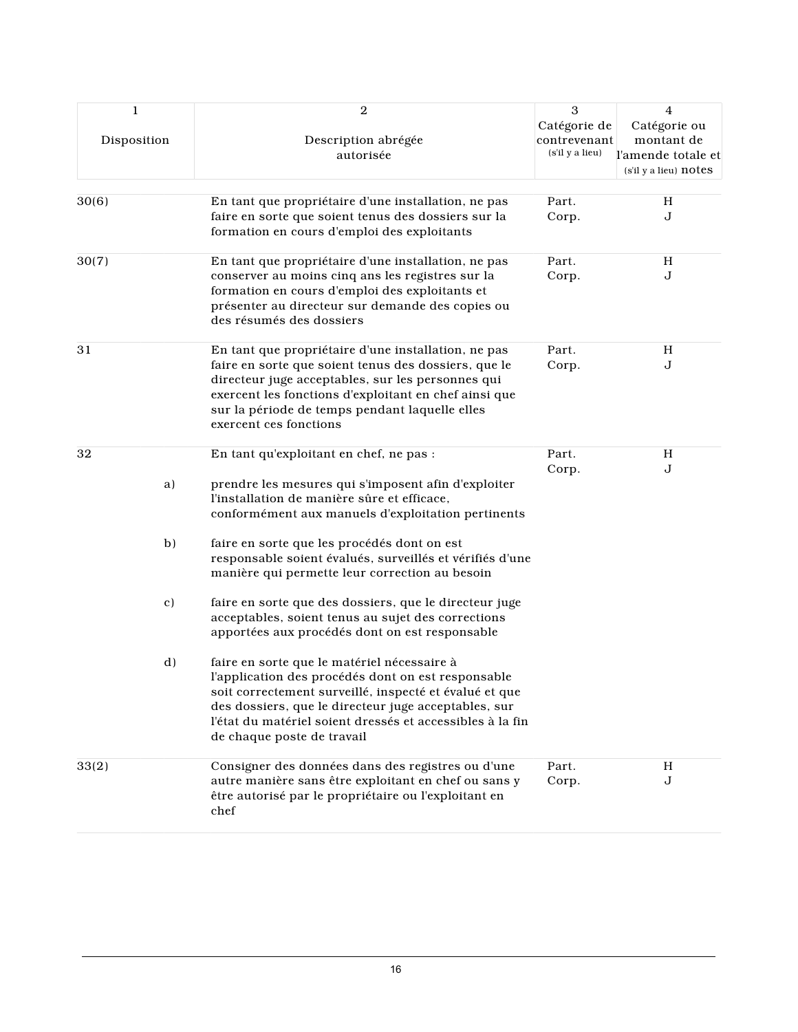| $\mathbf{1}$<br>Disposition |    | $\mathbf{2}$<br>Description abrégée<br>autorisée                                                                                                                                                                                                                                                               | 3<br>Catégorie de<br>contrevenant<br>(s'il y a lieu) | 4<br>Catégorie ou<br>montant de<br>l'amende totale et<br>(s'il y a lieu) notes |
|-----------------------------|----|----------------------------------------------------------------------------------------------------------------------------------------------------------------------------------------------------------------------------------------------------------------------------------------------------------------|------------------------------------------------------|--------------------------------------------------------------------------------|
|                             |    |                                                                                                                                                                                                                                                                                                                |                                                      |                                                                                |
| 30(6)                       |    | En tant que propriétaire d'une installation, ne pas<br>faire en sorte que soient tenus des dossiers sur la<br>formation en cours d'emploi des exploitants                                                                                                                                                      | Part.<br>Corp.                                       | H<br>J                                                                         |
| 30(7)                       |    | En tant que propriétaire d'une installation, ne pas                                                                                                                                                                                                                                                            | Part.                                                | H                                                                              |
|                             |    | conserver au moins cinq ans les registres sur la<br>formation en cours d'emploi des exploitants et<br>présenter au directeur sur demande des copies ou<br>des résumés des dossiers                                                                                                                             | Corp.                                                | $\bf J$                                                                        |
| 31                          |    | En tant que propriétaire d'une installation, ne pas                                                                                                                                                                                                                                                            | Part.                                                | H                                                                              |
|                             |    | faire en sorte que soient tenus des dossiers, que le<br>directeur juge acceptables, sur les personnes qui<br>exercent les fonctions d'exploitant en chef ainsi que<br>sur la période de temps pendant laquelle elles<br>exercent ces fonctions                                                                 | Corp.                                                | J                                                                              |
| 32                          |    | En tant qu'exploitant en chef, ne pas :                                                                                                                                                                                                                                                                        | Part.                                                | Η<br>J                                                                         |
|                             | a) | prendre les mesures qui s'imposent afin d'exploiter<br>l'installation de manière sûre et efficace,<br>conformément aux manuels d'exploitation pertinents                                                                                                                                                       | Corp.                                                |                                                                                |
|                             | b) | faire en sorte que les procédés dont on est<br>responsable soient évalués, surveillés et vérifiés d'une<br>manière qui permette leur correction au besoin                                                                                                                                                      |                                                      |                                                                                |
|                             | c) | faire en sorte que des dossiers, que le directeur juge<br>acceptables, soient tenus au sujet des corrections<br>apportées aux procédés dont on est responsable                                                                                                                                                 |                                                      |                                                                                |
|                             | d) | faire en sorte que le matériel nécessaire à<br>l'application des procédés dont on est responsable<br>soit correctement surveillé, inspecté et évalué et que<br>des dossiers, que le directeur juge acceptables, sur<br>l'état du matériel soient dressés et accessibles à la fin<br>de chaque poste de travail |                                                      |                                                                                |
| 33(2)                       |    | Consigner des données dans des registres ou d'une<br>autre manière sans être exploitant en chef ou sans y<br>être autorisé par le propriétaire ou l'exploitant en<br>chef                                                                                                                                      | Part.<br>Corp.                                       | H<br>J                                                                         |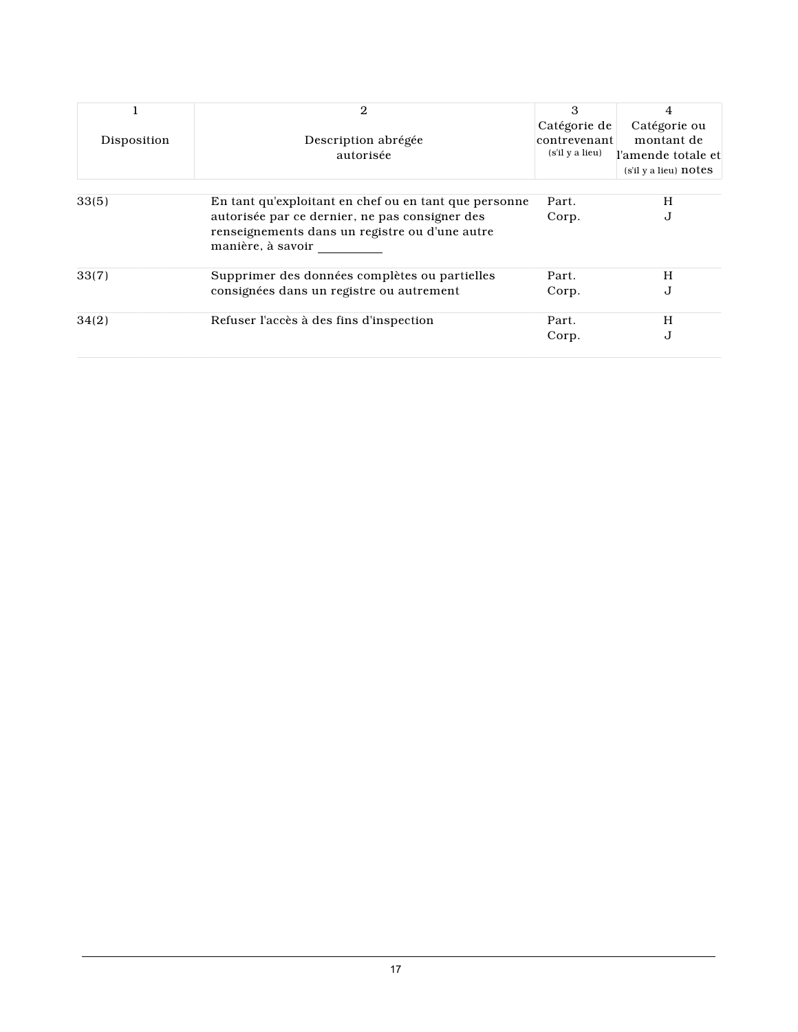|             | 2                                                                   | 3               | 4                           |
|-------------|---------------------------------------------------------------------|-----------------|-----------------------------|
|             |                                                                     | Catégorie de    | Catégorie ou                |
| Disposition | Description abrégée                                                 | contrevenant    | montant de                  |
|             | autorisée                                                           | (s'il y a lieu) | l'amende totale et          |
|             |                                                                     |                 | $(s'i'$ l y a lieu) $notes$ |
| 33(5)       | En tant qu'exploitant en chef ou en tant que personne               | Part.           | H                           |
|             | autorisée par ce dernier, ne pas consigner des                      | Corp.           | J                           |
|             | renseignements dans un registre ou d'une autre<br>manière, à savoir |                 |                             |
| 33(7)       | Supprimer des données complètes ou partielles                       | Part.           | H                           |
|             | consignées dans un registre ou autrement                            | Corp.           | J                           |
| 34(2)       | Refuser l'accès à des fins d'inspection                             | Part.           | H                           |
|             |                                                                     | Corp.           | J                           |
|             |                                                                     |                 |                             |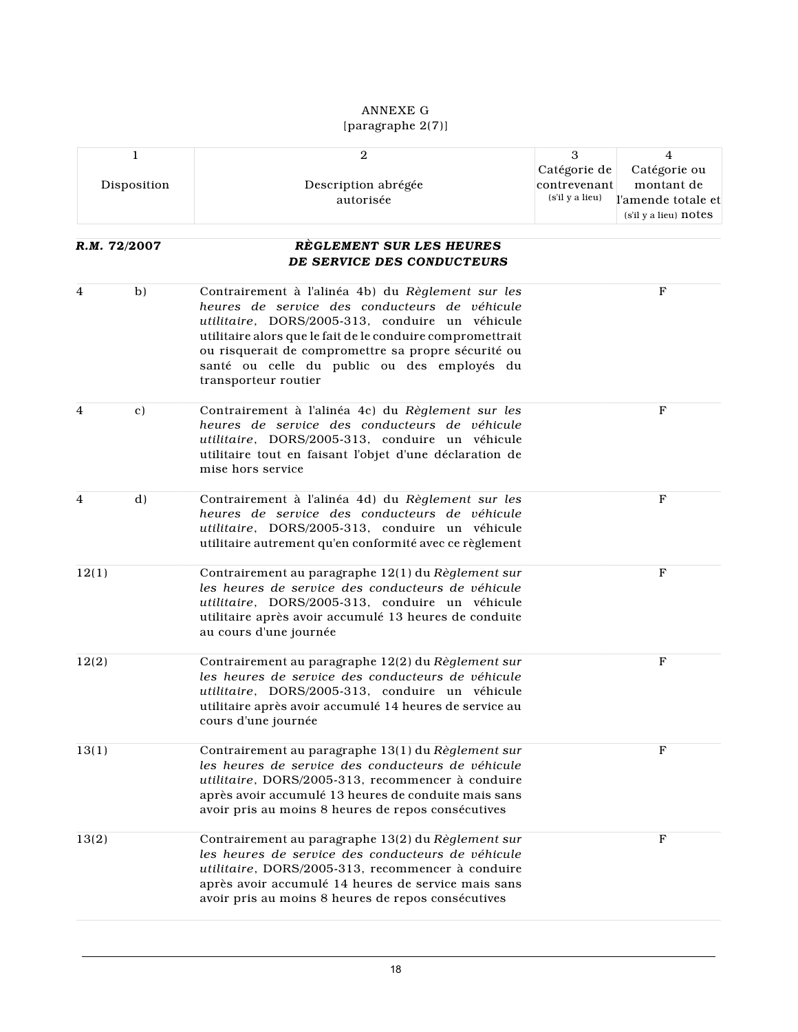## ANNEXE G [paragraphe 2(7)]

|       | 1              | $\overline{2}$                                                                                                                                                                                                                                                                                                                                    | 3                                               | $\overline{4}$                                                                  |
|-------|----------------|---------------------------------------------------------------------------------------------------------------------------------------------------------------------------------------------------------------------------------------------------------------------------------------------------------------------------------------------------|-------------------------------------------------|---------------------------------------------------------------------------------|
|       | Disposition    | Description abrégée<br>autorisée                                                                                                                                                                                                                                                                                                                  | Catégorie de<br>contrevenant<br>(s'il y a lieu) | Catégorie ou<br>montant de<br>l'amende totale et<br>$(s'i'$ l y a lieu) $notes$ |
|       |                |                                                                                                                                                                                                                                                                                                                                                   |                                                 |                                                                                 |
|       | R.M. 72/2007   | REGLEMENT SUR LES HEURES                                                                                                                                                                                                                                                                                                                          |                                                 |                                                                                 |
|       |                | DE SERVICE DES CONDUCTEURS                                                                                                                                                                                                                                                                                                                        |                                                 |                                                                                 |
| 4     | b)             | Contrairement à l'alinéa 4b) du Règlement sur les<br>heures de service des conducteurs de véhicule<br>utilitaire, DORS/2005-313, conduire un véhicule<br>utilitaire alors que le fait de le conduire compromettrait<br>ou risquerait de compromettre sa propre sécurité ou<br>santé ou celle du public ou des employés du<br>transporteur routier |                                                 | $\mathbf F$                                                                     |
| 4     | $\mathbf{c}$ ) | Contrairement à l'alinéa 4c) du Règlement sur les<br>heures de service des conducteurs de véhicule<br>utilitaire, DORS/2005-313, conduire un véhicule<br>utilitaire tout en faisant l'objet d'une déclaration de<br>mise hors service                                                                                                             |                                                 | $\mathbf{F}$                                                                    |
| 4     | $\mathbf{d}$   | Contrairement à l'alinéa 4d) du Règlement sur les<br>heures de service des conducteurs de véhicule<br>utilitaire, DORS/2005-313, conduire un véhicule<br>utilitaire autrement qu'en conformité avec ce règlement                                                                                                                                  |                                                 | $\mathbf{F}$                                                                    |
| 12(1) |                | Contrairement au paragraphe 12(1) du Règlement sur<br>les heures de service des conducteurs de véhicule<br>utilitaire, DORS/2005-313, conduire un véhicule<br>utilitaire après avoir accumulé 13 heures de conduite<br>au cours d'une journée                                                                                                     |                                                 | $\mathbf F$                                                                     |
| 12(2) |                | Contrairement au paragraphe 12(2) du Règlement sur<br>les heures de service des conducteurs de véhicule<br>utilitaire, DORS/2005-313, conduire un véhicule<br>utilitaire après avoir accumulé 14 heures de service au<br>cours d'une journée                                                                                                      |                                                 | $\mathbf{F}$                                                                    |
| 13(1) |                | Contrairement au paragraphe 13(1) du Règlement sur<br>les heures de service des conducteurs de véhicule<br>utilitaire, DORS/2005-313, recommencer à conduire<br>après avoir accumulé 13 heures de conduite mais sans<br>avoir pris au moins 8 heures de repos consécutives                                                                        |                                                 | F                                                                               |
| 13(2) |                | Contrairement au paragraphe 13(2) du Règlement sur<br>les heures de service des conducteurs de véhicule<br>utilitaire, DORS/2005-313, recommencer à conduire<br>après avoir accumulé 14 heures de service mais sans<br>avoir pris au moins 8 heures de repos consécutives                                                                         |                                                 | F                                                                               |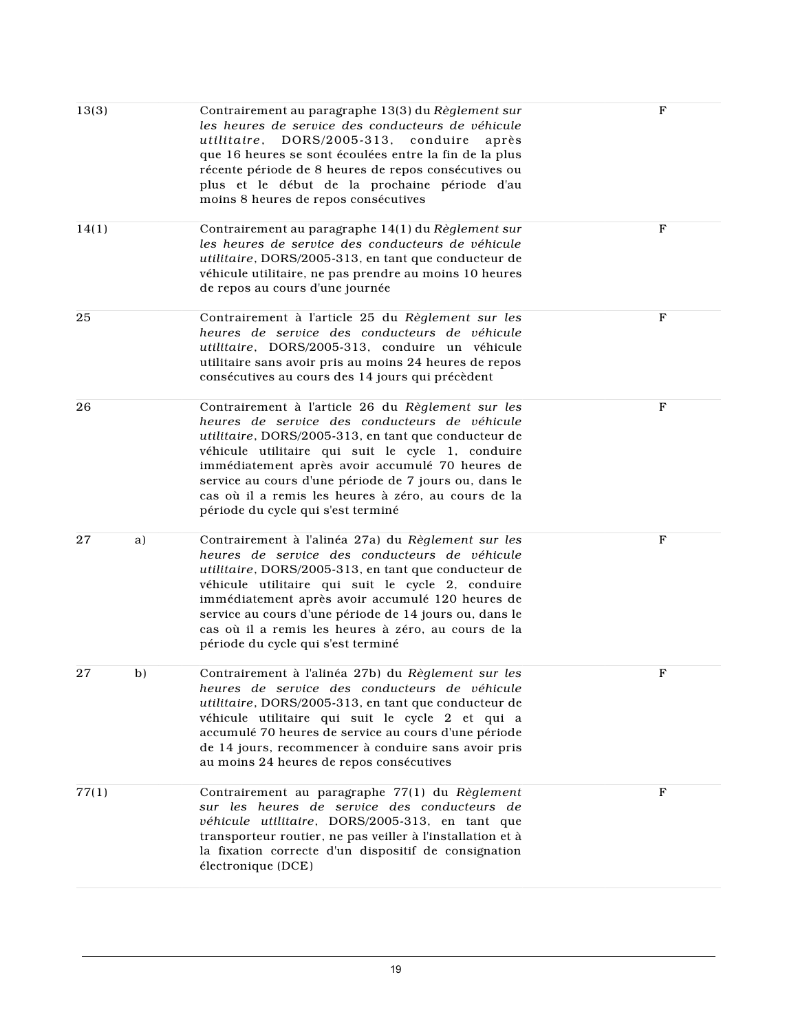| 13(3) |    | Contrairement au paragraphe 13(3) du Règlement sur<br>les heures de service des conducteurs de véhicule<br>utilitaire, DORS/2005-313,<br>conduire<br>après<br>que 16 heures se sont écoulées entre la fin de la plus<br>récente période de 8 heures de repos consécutives ou<br>plus et le début de la prochaine période d'au<br>moins 8 heures de repos consécutives                                                       | F            |
|-------|----|-----------------------------------------------------------------------------------------------------------------------------------------------------------------------------------------------------------------------------------------------------------------------------------------------------------------------------------------------------------------------------------------------------------------------------|--------------|
| 14(1) |    | Contrairement au paragraphe 14(1) du Règlement sur<br>les heures de service des conducteurs de véhicule<br>utilitaire, DORS/2005-313, en tant que conducteur de<br>véhicule utilitaire, ne pas prendre au moins 10 heures<br>de repos au cours d'une journée                                                                                                                                                                | $\mathbf F$  |
| 25    |    | Contrairement à l'article 25 du Règlement sur les<br>heures de service des conducteurs de véhicule<br>utilitaire, DORS/2005-313, conduire un véhicule<br>utilitaire sans avoir pris au moins 24 heures de repos<br>consécutives au cours des 14 jours qui précèdent                                                                                                                                                         | F            |
| 26    |    | Contrairement à l'article 26 du Règlement sur les<br>heures de service des conducteurs de véhicule<br>utilitaire, DORS/2005-313, en tant que conducteur de<br>véhicule utilitaire qui suit le cycle 1, conduire<br>immédiatement après avoir accumulé 70 heures de<br>service au cours d'une période de 7 jours ou, dans le<br>cas où il a remis les heures à zéro, au cours de la<br>période du cycle qui s'est terminé    | F            |
| 27    | a) | Contrairement à l'alinéa 27a) du Règlement sur les<br>heures de service des conducteurs de véhicule<br>utilitaire, DORS/2005-313, en tant que conducteur de<br>véhicule utilitaire qui suit le cycle 2, conduire<br>immédiatement après avoir accumulé 120 heures de<br>service au cours d'une période de 14 jours ou, dans le<br>cas où il a remis les heures à zéro, au cours de la<br>période du cycle qui s'est terminé | F            |
| 27    | b) | Contrairement à l'alinéa 27b) du Règlement sur les<br>heures de service des conducteurs de véhicule<br>utilitaire, DORS/2005-313, en tant que conducteur de<br>véhicule utilitaire qui suit le cycle 2 et qui a<br>accumulé 70 heures de service au cours d'une période<br>de 14 jours, recommencer à conduire sans avoir pris<br>au moins 24 heures de repos consécutives                                                  | F            |
| 77(1) |    | Contrairement au paragraphe 77(1) du Règlement<br>sur les heures de service des conducteurs de<br>véhicule utilitaire, DORS/2005-313, en tant que<br>transporteur routier, ne pas veiller à l'installation et à<br>la fixation correcte d'un dispositif de consignation<br>électronique (DCE)                                                                                                                               | $\mathbf{F}$ |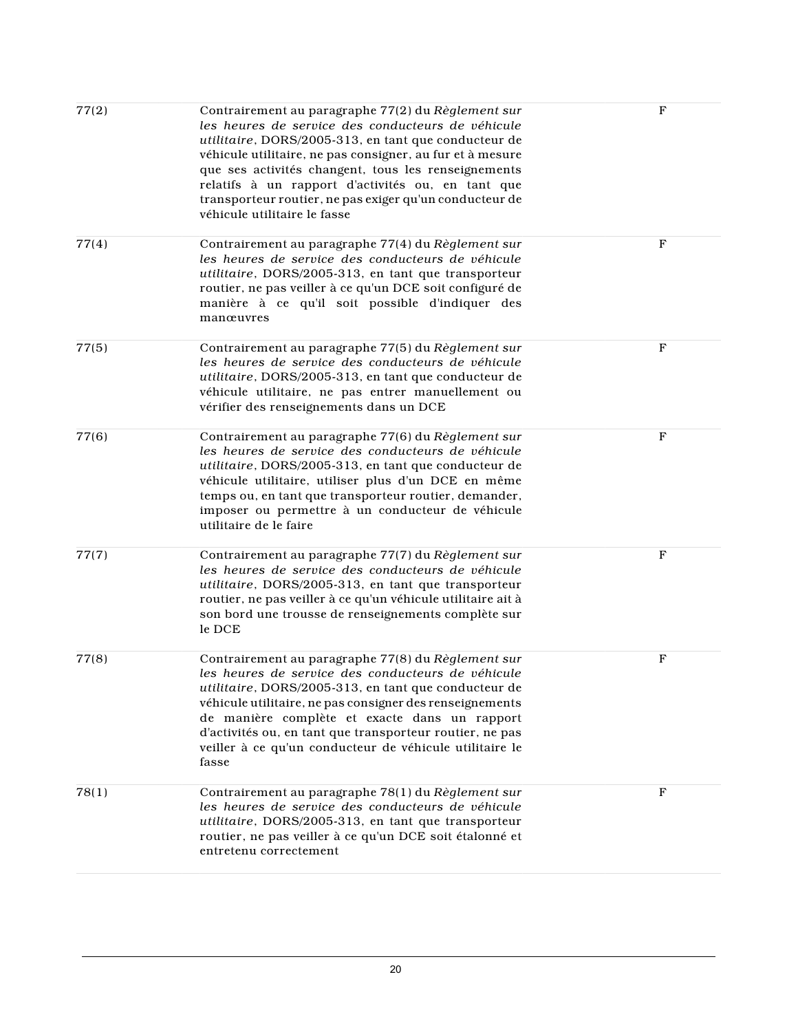| 77(2) | Contrairement au paragraphe 77(2) du Règlement sur<br>les heures de service des conducteurs de véhicule<br>utilitaire, DORS/2005-313, en tant que conducteur de<br>véhicule utilitaire, ne pas consigner, au fur et à mesure<br>que ses activités changent, tous les renseignements<br>relatifs à un rapport d'activités ou, en tant que<br>transporteur routier, ne pas exiger qu'un conducteur de<br>véhicule utilitaire le fasse | $_{\rm F}$   |
|-------|-------------------------------------------------------------------------------------------------------------------------------------------------------------------------------------------------------------------------------------------------------------------------------------------------------------------------------------------------------------------------------------------------------------------------------------|--------------|
| 77(4) | Contrairement au paragraphe 77(4) du Règlement sur<br>les heures de service des conducteurs de véhicule<br>utilitaire, DORS/2005-313, en tant que transporteur<br>routier, ne pas veiller à ce qu'un DCE soit configuré de<br>manière à ce qu'il soit possible d'indiquer des<br>manœuvres                                                                                                                                          | $_{\rm F}$   |
| 77(5) | Contrairement au paragraphe 77(5) du Règlement sur<br>les heures de service des conducteurs de véhicule<br>utilitaire, DORS/2005-313, en tant que conducteur de<br>véhicule utilitaire, ne pas entrer manuellement ou<br>vérifier des renseignements dans un DCE                                                                                                                                                                    | $\mathbf{F}$ |
| 77(6) | Contrairement au paragraphe 77(6) du Règlement sur<br>les heures de service des conducteurs de véhicule<br>utilitaire, DORS/2005-313, en tant que conducteur de<br>véhicule utilitaire, utiliser plus d'un DCE en même<br>temps ou, en tant que transporteur routier, demander,<br>imposer ou permettre à un conducteur de véhicule<br>utilitaire de le faire                                                                       | $_{\rm F}$   |
| 77(7) | Contrairement au paragraphe 77(7) du Règlement sur<br>les heures de service des conducteurs de véhicule<br>utilitaire, DORS/2005-313, en tant que transporteur<br>routier, ne pas veiller à ce qu'un véhicule utilitaire ait à<br>son bord une trousse de renseignements complète sur<br>le DCE                                                                                                                                     | $_{\rm F}$   |
| 77(8) | Contrairement au paragraphe 77(8) du Règlement sur<br>les heures de service des conducteurs de véhicule<br>utilitaire, DORS/2005-313, en tant que conducteur de<br>véhicule utilitaire, ne pas consigner des renseignements<br>de manière complète et exacte dans un rapport<br>d'activités ou, en tant que transporteur routier, ne pas<br>veiller à ce qu'un conducteur de véhicule utilitaire le<br>fasse                        | $\mathbf F$  |
| 78(1) | Contrairement au paragraphe 78(1) du Règlement sur<br>les heures de service des conducteurs de véhicule<br>utilitaire, DORS/2005-313, en tant que transporteur<br>routier, ne pas veiller à ce qu'un DCE soit étalonné et<br>entretenu correctement                                                                                                                                                                                 | $\mathbf{F}$ |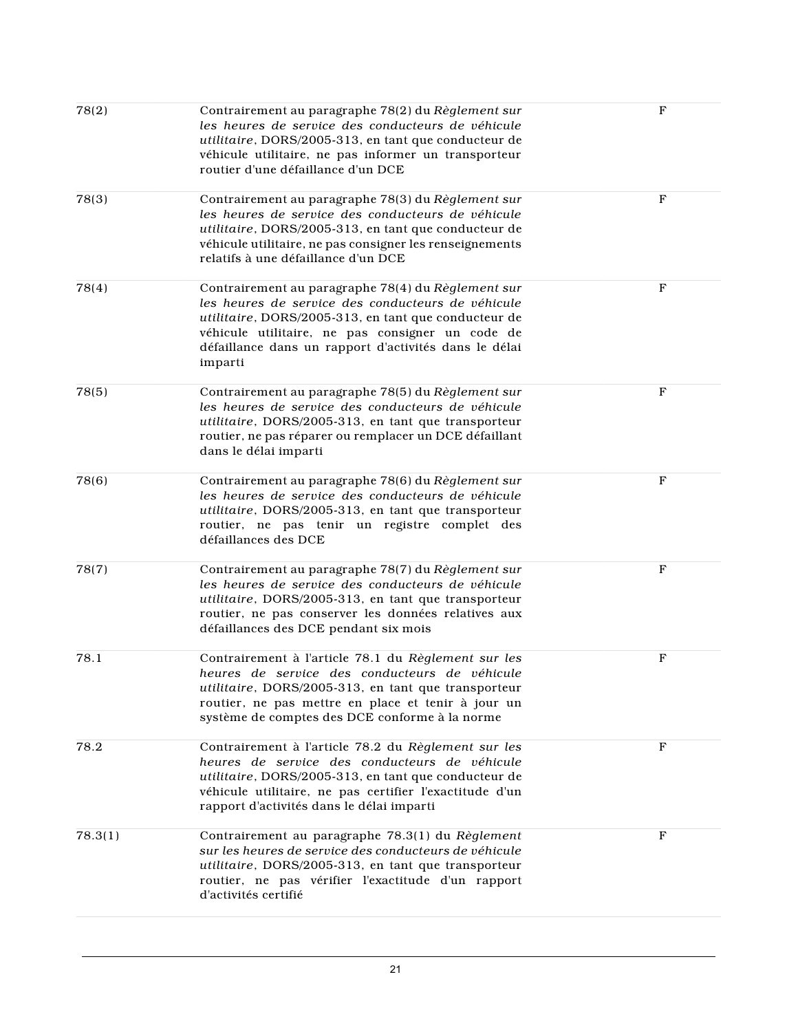| 78(2)   | Contrairement au paragraphe 78(2) du Règlement sur<br>les heures de service des conducteurs de véhicule<br>utilitaire, DORS/2005-313, en tant que conducteur de<br>véhicule utilitaire, ne pas informer un transporteur<br>routier d'une défaillance d'un DCE                           | $\mathbf F$  |
|---------|-----------------------------------------------------------------------------------------------------------------------------------------------------------------------------------------------------------------------------------------------------------------------------------------|--------------|
| 78(3)   | Contrairement au paragraphe 78(3) du Règlement sur<br>les heures de service des conducteurs de véhicule<br>utilitaire, DORS/2005-313, en tant que conducteur de<br>véhicule utilitaire, ne pas consigner les renseignements<br>relatifs à une défaillance d'un DCE                      | $\mathbf{F}$ |
| 78(4)   | Contrairement au paragraphe 78(4) du Règlement sur<br>les heures de service des conducteurs de véhicule<br>utilitaire, DORS/2005-313, en tant que conducteur de<br>véhicule utilitaire, ne pas consigner un code de<br>défaillance dans un rapport d'activités dans le délai<br>imparti | F            |
| 78(5)   | Contrairement au paragraphe 78(5) du Règlement sur<br>les heures de service des conducteurs de véhicule<br>utilitaire, DORS/2005-313, en tant que transporteur<br>routier, ne pas réparer ou remplacer un DCE défaillant<br>dans le délai imparti                                       | $\mathbf{F}$ |
| 78(6)   | Contrairement au paragraphe 78(6) du Règlement sur<br>les heures de service des conducteurs de véhicule<br>utilitaire, DORS/2005-313, en tant que transporteur<br>routier, ne pas tenir un registre complet des<br>défaillances des DCE                                                 | $\mathbf{F}$ |
| 78(7)   | Contrairement au paragraphe 78(7) du Règlement sur<br>les heures de service des conducteurs de véhicule<br>utilitaire, DORS/2005-313, en tant que transporteur<br>routier, ne pas conserver les données relatives aux<br>défaillances des DCE pendant six mois                          | F            |
| 78.1    | Contrairement à l'article 78.1 du Règlement sur les<br>heures de service des conducteurs de véhicule<br><i>utilitaire</i> , DORS/2005-313, en tant que transporteur<br>routier, ne pas mettre en place et tenir à jour un<br>système de comptes des DCE conforme à la norme             | $_{\rm F}$   |
| 78.2    | Contrairement à l'article 78.2 du Règlement sur les<br>heures de service des conducteurs de véhicule<br>utilitaire, DORS/2005-313, en tant que conducteur de<br>véhicule utilitaire, ne pas certifier l'exactitude d'un<br>rapport d'activités dans le délai imparti                    | F            |
| 78.3(1) | Contrairement au paragraphe 78.3(1) du Règlement<br>sur les heures de service des conducteurs de véhicule<br>utilitaire, DORS/2005-313, en tant que transporteur<br>routier, ne pas vérifier l'exactitude d'un rapport<br>d'activités certifié                                          | F            |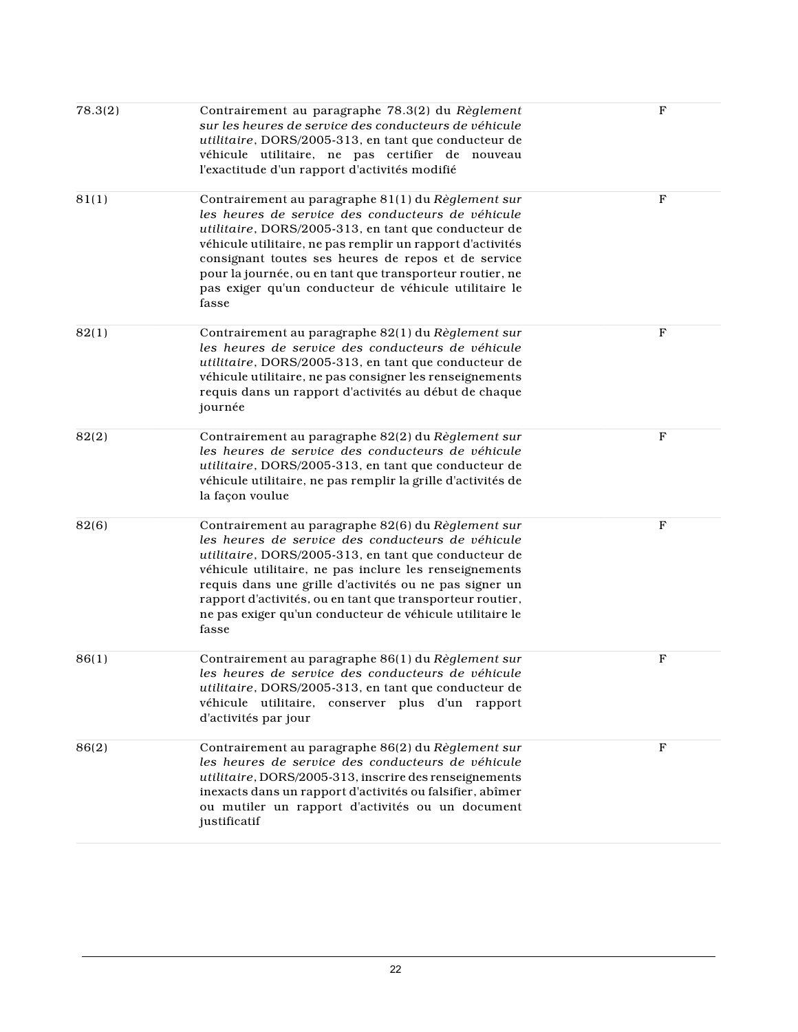| 78.3(2) | Contrairement au paragraphe 78.3(2) du Règlement<br>sur les heures de service des conducteurs de véhicule<br>utilitaire, DORS/2005-313, en tant que conducteur de<br>véhicule utilitaire, ne pas certifier de nouveau<br>l'exactitude d'un rapport d'activités modifié                                                                                                                                                | $\mathbf F$  |
|---------|-----------------------------------------------------------------------------------------------------------------------------------------------------------------------------------------------------------------------------------------------------------------------------------------------------------------------------------------------------------------------------------------------------------------------|--------------|
| 81(1)   | Contrairement au paragraphe 81(1) du Règlement sur<br>les heures de service des conducteurs de véhicule<br>utilitaire, DORS/2005-313, en tant que conducteur de<br>véhicule utilitaire, ne pas remplir un rapport d'activités<br>consignant toutes ses heures de repos et de service<br>pour la journée, ou en tant que transporteur routier, ne<br>pas exiger qu'un conducteur de véhicule utilitaire le<br>fasse    | $\mathbf{F}$ |
| 82(1)   | Contrairement au paragraphe 82(1) du Règlement sur<br>les heures de service des conducteurs de véhicule<br>utilitaire, DORS/2005-313, en tant que conducteur de<br>véhicule utilitaire, ne pas consigner les renseignements<br>requis dans un rapport d'activités au début de chaque<br>journée                                                                                                                       | $\mathbf{F}$ |
| 82(2)   | Contrairement au paragraphe 82(2) du Règlement sur<br>les heures de service des conducteurs de véhicule<br>utilitaire, DORS/2005-313, en tant que conducteur de<br>véhicule utilitaire, ne pas remplir la grille d'activités de<br>la façon voulue                                                                                                                                                                    | F            |
| 82(6)   | Contrairement au paragraphe 82(6) du Règlement sur<br>les heures de service des conducteurs de véhicule<br>utilitaire, DORS/2005-313, en tant que conducteur de<br>véhicule utilitaire, ne pas inclure les renseignements<br>requis dans une grille d'activités ou ne pas signer un<br>rapport d'activités, ou en tant que transporteur routier,<br>ne pas exiger qu'un conducteur de véhicule utilitaire le<br>fasse | F            |
| 86(1)   | Contrairement au paragraphe 86(1) du Règlement sur<br>les heures de service des conducteurs de véhicule<br>utilitaire, DORS/2005-313, en tant que conducteur de<br>véhicule utilitaire, conserver plus d'un rapport<br>d'activités par jour                                                                                                                                                                           | $\mathbf F$  |
| 86(2)   | Contrairement au paragraphe 86(2) du Règlement sur<br>les heures de service des conducteurs de véhicule<br>utilitaire, DORS/2005-313, inscrire des renseignements<br>inexacts dans un rapport d'activités ou falsifier, abîmer<br>ou mutiler un rapport d'activités ou un document<br>justificatif                                                                                                                    | F            |